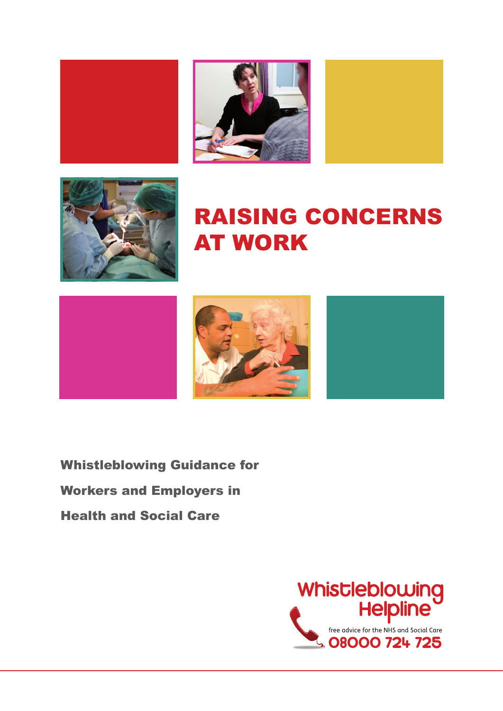







# RAISING CONCERNS AT WORK







Whistleblowing Guidance for Workers and Employers in Health and Social Care

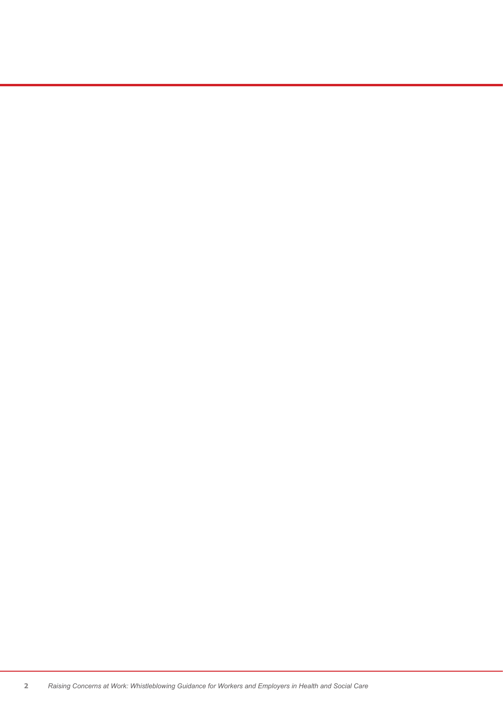*Raising Concerns at Work: Whistleblowing Guidance for Workers and Employers in Health and Social Care*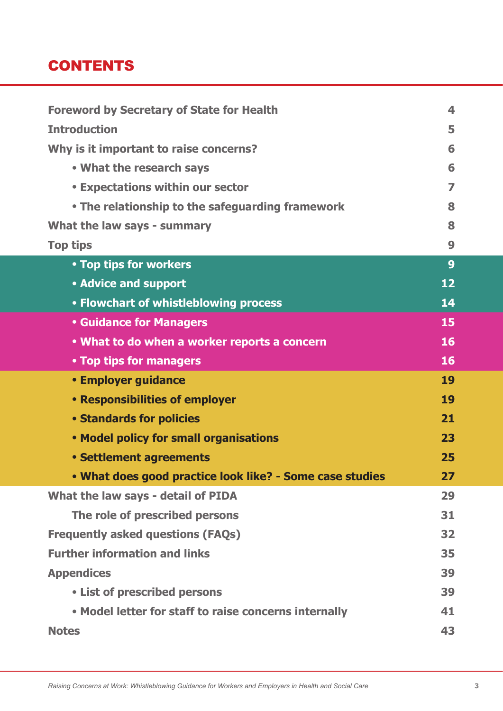# **CONTENTS**

| <b>Foreword by Secretary of State for Health</b>         | 4         |
|----------------------------------------------------------|-----------|
| <b>Introduction</b>                                      | 5         |
| Why is it important to raise concerns?                   | 6         |
| • What the research says                                 | 6         |
| <b>• Expectations within our sector</b>                  | 7         |
| • The relationship to the safeguarding framework         | 8         |
| What the law says - summary                              | 8         |
| <b>Top tips</b>                                          | 9         |
| • Top tips for workers                                   | 9         |
| • Advice and support                                     | 12        |
| • Flowchart of whistleblowing process                    | 14        |
| <b>• Guidance for Managers</b>                           | 15        |
| • What to do when a worker reports a concern             | <b>16</b> |
| <b>• Top tips for managers</b>                           | 16        |
| • Employer guidance                                      | 19        |
| <b>• Responsibilities of employer</b>                    | 19        |
| <b>• Standards for policies</b>                          | 21        |
| • Model policy for small organisations                   | 23        |
| • Settlement agreements                                  | 25        |
| • What does good practice look like? - Some case studies | 27        |
| What the law says - detail of PIDA                       | 29        |
| The role of prescribed persons                           | 31        |
| <b>Frequently asked questions (FAQs)</b>                 | 32        |
| <b>Further information and links</b>                     | 35        |
| <b>Appendices</b>                                        | 39        |
| • List of prescribed persons                             | 39        |
| • Model letter for staff to raise concerns internally    | 41        |
| <b>Notes</b>                                             | 43        |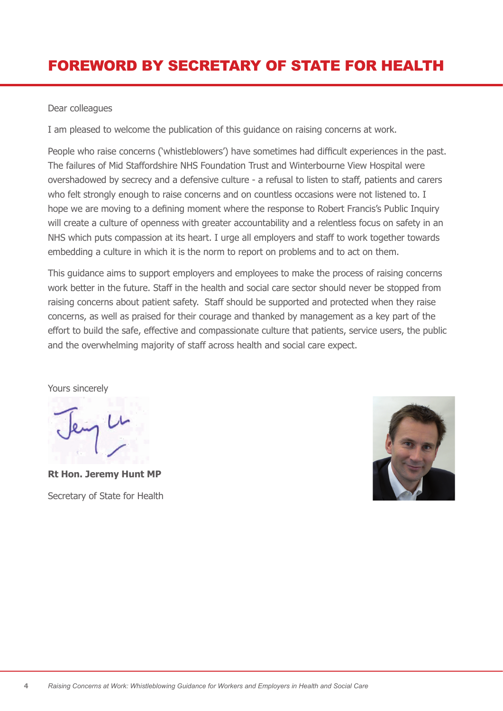# <span id="page-3-0"></span>FOREWORD BY SECRETARY OF STATE FOR HEALTH

#### Dear colleagues

I am pleased to welcome the publication of this guidance on raising concerns at work.

People who raise concerns ('whistleblowers') have sometimes had difficult experiences in the past. The failures of Mid Staffordshire NHS Foundation Trust and Winterbourne View Hospital were overshadowed by secrecy and a defensive culture - a refusal to listen to staff, patients and carers who felt strongly enough to raise concerns and on countless occasions were not listened to. I hope we are moving to a defining moment where the response to Robert Francis's Public Inquiry will create a culture of openness with greater accountability and a relentless focus on safety in an NHS which puts compassion at its heart. I urge all employers and staff to work together towards embedding a culture in which it is the norm to report on problems and to act on them.

This guidance aims to support employers and employees to make the process of raising concerns work better in the future. Staff in the health and social care sector should never be stopped from raising concerns about patient safety. Staff should be supported and protected when they raise concerns, as well as praised for their courage and thanked by management as a key part of the effort to build the safe, effective and compassionate culture that patients, service users, the public and the overwhelming majority of staff across health and social care expect.

Yours sincerely

**Rt Hon. Jeremy Hunt MP** Secretary of State for Health

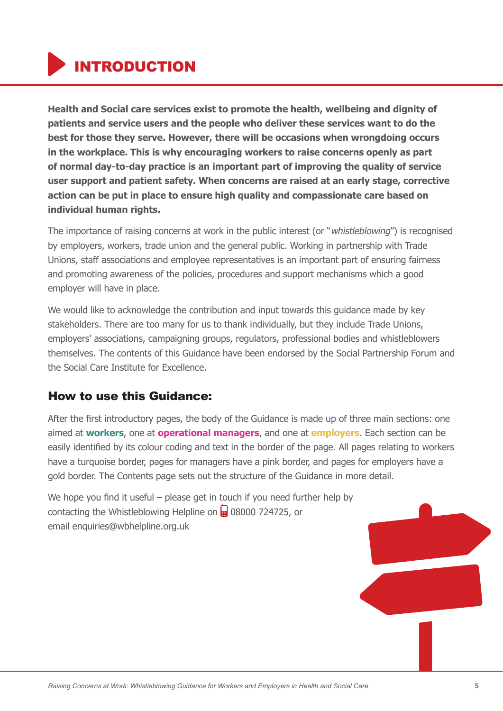<span id="page-4-0"></span>

**Health and Social care services exist to promote the health, wellbeing and dignity of patients and service users and the people who deliver these services want to do the best for those they serve. However, there will be occasions when wrongdoing occurs in the workplace. This is why encouraging workers to raise concerns openly as part of normal day-to-day practice is an important part of improving the quality of service user support and patient safety. When concerns are raised at an early stage, corrective action can be put in place to ensure high quality and compassionate care based on individual human rights.**

The importance of raising concerns at work in the public interest (or "whistleblowing") is recognised by employers, workers, trade union and the general public. Working in partnership with Trade Unions, staff associations and employee representatives is an important part of ensuring fairness and promoting awareness of the policies, procedures and support mechanisms which a good employer will have in place.

We would like to acknowledge the contribution and input towards this guidance made by key stakeholders. There are too many for us to thank individually, but they include Trade Unions, employers' associations, campaigning groups, regulators, professional bodies and whistleblowers themselves. The contents of this Guidance have been endorsed by the Social Partnership Forum and the Social Care Institute for Excellence.

### How to use this Guidance:

After the first introductory pages, the body of the Guidance is made up of three main sections: one aimed at **workers**, one at **operational managers**, and one at **employers**. Each section can be easily identified by its colour coding and text in the border of the page. All pages relating to workers have a turquoise border, pages for managers have a pink border, and pages for employers have a gold border. The Contents page sets out the structure of the Guidance in more detail.

We hope you find it useful – please get in touch if you need further help by contacting the Whistleblowing Helpline on  $\frac{1}{2}$  08000 724725, or email [enquiries@wbhelpline.org.uk](mailto:enquiries%40wbhelpline.org.uk?subject=)

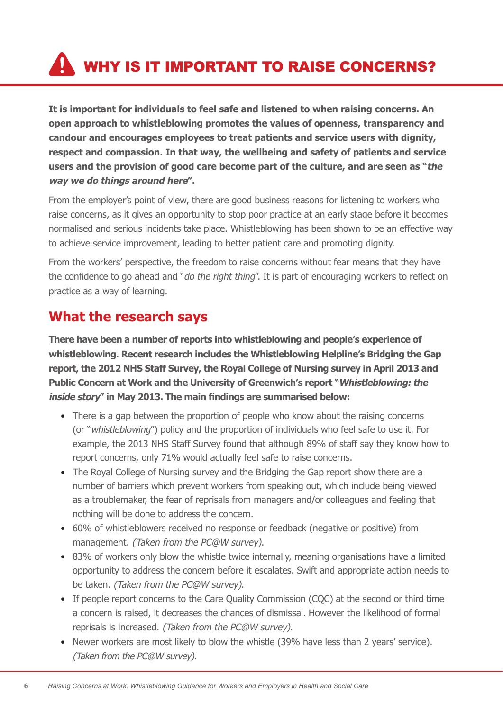# <span id="page-5-0"></span>**A WHY IS IT IMPORTANT TO RAISE CONCERNS?**

**It is important for individuals to feel safe and listened to when raising concerns. An open approach to whistleblowing promotes the values of openness, transparency and candour and encourages employees to treat patients and service users with dignity, respect and compassion. In that way, the wellbeing and safety of patients and service users and the provision of good care become part of the culture, and are seen as "the way we do things around here".** 

From the employer's point of view, there are good business reasons for listening to workers who raise concerns, as it gives an opportunity to stop poor practice at an early stage before it becomes normalised and serious incidents take place. Whistleblowing has been shown to be an effective way to achieve service improvement, leading to better patient care and promoting dignity.

From the workers' perspective, the freedom to raise concerns without fear means that they have the confidence to go ahead and "*do the right thing"*. It is part of encouraging workers to reflect on practice as a way of learning.

# **What the research says**

**There have been a number of reports into whistleblowing and people's experience of whistleblowing. Recent research includes the Whistleblowing Helpline's Bridging the Gap report, the 2012 NHS Staff Survey, the Royal College of Nursing survey in April 2013 and Public Concern at Work and the University of Greenwich's report "Whistleblowing: the inside story" in May 2013. The main findings are summarised below:**

- There is a gap between the proportion of people who know about the raising concerns (or "whistleblowing") policy and the proportion of individuals who feel safe to use it. For example, the 2013 NHS Staff Survey found that although 89% of staff say they know how to report concerns, only 71% would actually feel safe to raise concerns.
- The Royal College of Nursing survey and the Bridging the Gap report show there are a number of barriers which prevent workers from speaking out, which include being viewed as a troublemaker, the fear of reprisals from managers and/or colleagues and feeling that nothing will be done to address the concern.
- 60% of whistleblowers received no response or feedback (negative or positive) from management. (Taken from the PC@W survey).
- 83% of workers only blow the whistle twice internally, meaning organisations have a limited opportunity to address the concern before it escalates. Swift and appropriate action needs to be taken. (Taken from the PC@W survey).
- If people report concerns to the Care Ouality Commission (COC) at the second or third time a concern is raised, it decreases the chances of dismissal. However the likelihood of formal reprisals is increased. (Taken from the PC@W survey).
- Newer workers are most likely to blow the whistle (39% have less than 2 years' service). (Taken from the PC@W survey).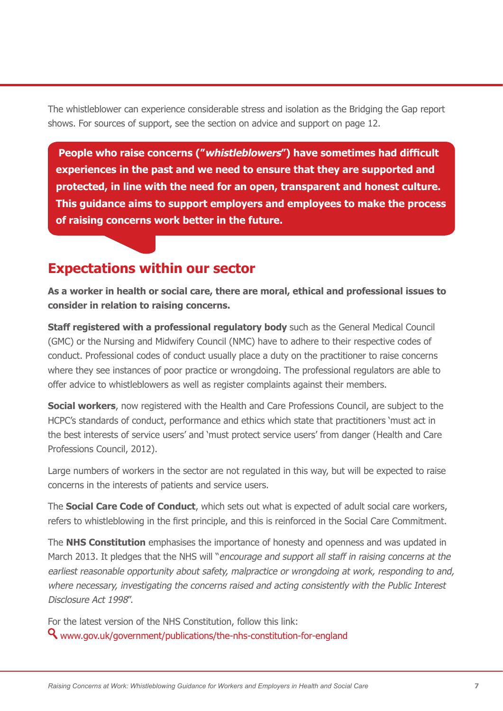<span id="page-6-0"></span>The whistleblower can experience considerable stress and isolation as the Bridging the Gap report shows. For sources of support, see the section on advice and support on [page 12](#page-11-1).

**People who raise concerns ("whistleblowers") have sometimes had difficult experiences in the past and we need to ensure that they are supported and protected, in line with the need for an open, transparent and honest culture. This guidance aims to support employers and employees to make the process of raising concerns work better in the future.** 

# **Expectations within our sector**

**As a worker in health or social care, there are moral, ethical and professional issues to consider in relation to raising concerns.** 

**Staff registered with a professional regulatory body** such as the General Medical Council (GMC) or the Nursing and Midwifery Council (NMC) have to adhere to their respective codes of conduct. Professional codes of conduct usually place a duty on the practitioner to raise concerns where they see instances of poor practice or wrongdoing. The professional regulators are able to offer advice to whistleblowers as well as register complaints against their members.

**Social workers**, now registered with the Health and Care Professions Council, are subject to the HCPC's standards of conduct, performance and ethics which state that practitioners 'must act in the best interests of service users' and 'must protect service users' from danger (Health and Care Professions Council, 2012).

Large numbers of workers in the sector are not regulated in this way, but will be expected to raise concerns in the interests of patients and service users.

The **Social Care Code of Conduct**, which sets out what is expected of adult social care workers, refers to whistleblowing in the first principle, and this is reinforced in the Social Care Commitment.

The **NHS Constitution** emphasises the importance of honesty and openness and was updated in March 2013. It pledges that the NHS will "encourage and support all staff in raising concerns at the earliest reasonable opportunity about safety, malpractice or wrongdoing at work, responding to and, where necessary, investigating the concerns raised and acting consistently with the Public Interest Disclosure Act 1998".

For the latest version of the NHS Constitution, follow this link: [www.gov.uk/government/publications/the-nhs-constitution-for-england](http://www.gov.uk/government/publications/the-nhs-constitution-for-england)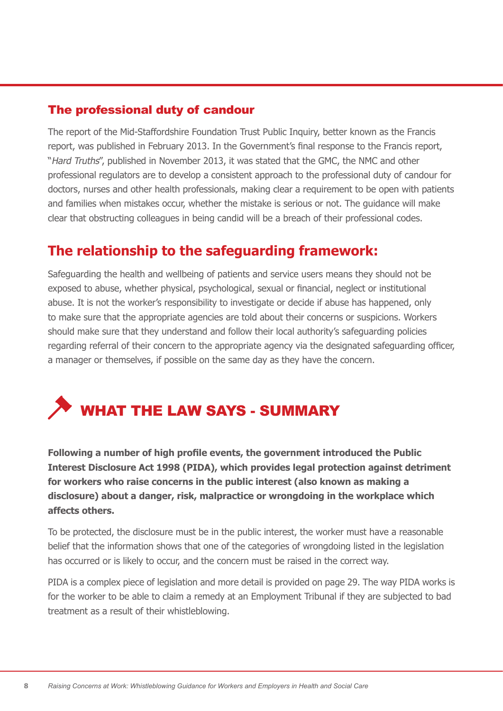### <span id="page-7-0"></span>The professional duty of candour

The report of the Mid-Staffordshire Foundation Trust Public Inquiry, better known as the Francis report, was published in February 2013. In the Government's final response to the Francis report, "Hard Truths", published in November 2013, it was stated that the GMC, the NMC and other professional regulators are to develop a consistent approach to the professional duty of candour for doctors, nurses and other health professionals, making clear a requirement to be open with patients and families when mistakes occur, whether the mistake is serious or not. The guidance will make clear that obstructing colleagues in being candid will be a breach of their professional codes.

# **The relationship to the safeguarding framework:**

Safeguarding the health and wellbeing of patients and service users means they should not be exposed to abuse, whether physical, psychological, sexual or financial, neglect or institutional abuse. It is not the worker's responsibility to investigate or decide if abuse has happened, only to make sure that the appropriate agencies are told about their concerns or suspicions. Workers should make sure that they understand and follow their local authority's safeguarding policies regarding referral of their concern to the appropriate agency via the designated safeguarding officer, a manager or themselves, if possible on the same day as they have the concern.

# **WHAT THE LAW SAYS - SUMMARY**

**Following a number of high profile events, the government introduced the Public Interest Disclosure Act 1998 (PIDA), which provides legal protection against detriment for workers who raise concerns in the public interest (also known as making a disclosure) about a danger, risk, malpractice or wrongdoing in the workplace which affects others.** 

To be protected, the disclosure must be in the public interest, the worker must have a reasonable belief that the information shows that one of the categories of wrongdoing listed in the legislation has occurred or is likely to occur, and the concern must be raised in the correct way.

PIDA is a complex piece of legislation and more detail is provided on [page 29](#page-28-1). The way PIDA works is for the worker to be able to claim a remedy at an Employment Tribunal if they are subjected to bad treatment as a result of their whistleblowing.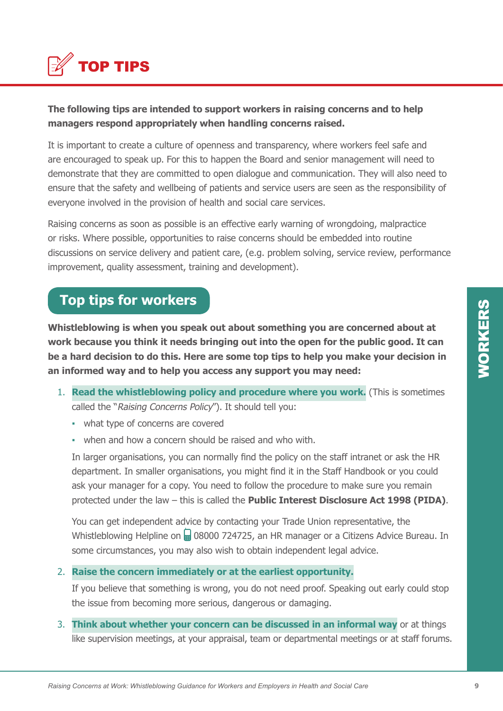# <span id="page-8-0"></span>TOP TIPS

### **The following tips are intended to support workers in raising concerns and to help managers respond appropriately when handling concerns raised.**

It is important to create a culture of openness and transparency, where workers feel safe and are encouraged to speak up. For this to happen the Board and senior management will need to demonstrate that they are committed to open dialogue and communication. They will also need to ensure that the safety and wellbeing of patients and service users are seen as the responsibility of everyone involved in the provision of health and social care services.

Raising concerns as soon as possible is an effective early warning of wrongdoing, malpractice or risks. Where possible, opportunities to raise concerns should be embedded into routine discussions on service delivery and patient care, (e.g. problem solving, service review, performance improvement, quality assessment, training and development).

# **Top tips for workers**

**Whistleblowing is when you speak out about something you are concerned about at work because you think it needs bringing out into the open for the public good. It can be a hard decision to do this. Here are some top tips to help you make your decision in an informed way and to help you access any support you may need:** 

- 1. **Read the whistleblowing policy and procedure where you work.** (This is sometimes called the "Raising Concerns Policy"). It should tell you:
	- what type of concerns are covered
	- when and how a concern should be raised and who with.

In larger organisations, you can normally find the policy on the staff intranet or ask the HR department. In smaller organisations, you might find it in the Staff Handbook or you could ask your manager for a copy. You need to follow the procedure to make sure you remain protected under the law – this is called the **Public Interest Disclosure Act 1998 (PIDA)**.

You can get independent advice by contacting your Trade Union representative, the Whistleblowing Helpline on  $\frac{1}{2}$  08000 724725, an HR manager or a Citizens Advice Bureau. In some circumstances, you may also wish to obtain independent legal advice.

#### 2. **Raise the concern immediately or at the earliest opportunity.**

If you believe that something is wrong, you do not need proof. Speaking out early could stop the issue from becoming more serious, dangerous or damaging.

3. **Think about whether your concern can be discussed in an informal way** or at things like supervision meetings, at your appraisal, team or departmental meetings or at staff forums.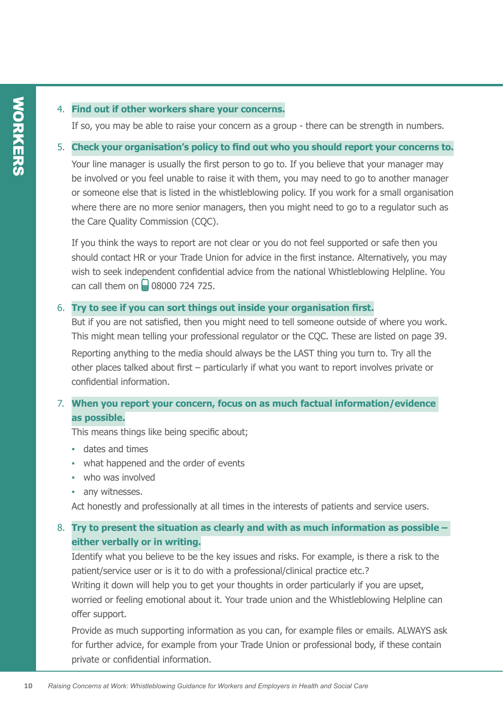#### 4. **Find out if other workers share your concerns.**

If so, you may be able to raise your concern as a group - there can be strength in numbers.

#### 5. **Check your organisation's policy to find out who you should report your concerns to.**

Your line manager is usually the first person to go to. If you believe that your manager may be involved or you feel unable to raise it with them, you may need to go to another manager or someone else that is listed in the whistleblowing policy. If you work for a small organisation where there are no more senior managers, then you might need to go to a regulator such as the Care Quality Commission (CQC).

If you think the ways to report are not clear or you do not feel supported or safe then you should contact HR or your Trade Union for advice in the first instance. Alternatively, you may wish to seek independent confidential advice from the national Whistleblowing Helpline. You can call them on  $\Box$  08000 724 725.

#### 6. **Try to see if you can sort things out inside your organisation first.**

But if you are not satisfied, then you might need to tell someone outside of where you work. This might mean telling your professional regulator or the CQC. These are listed on [page 39](#page-38-1). Reporting anything to the media should always be the LAST thing you turn to. Try all the other places talked about first – particularly if what you want to report involves private or confidential information.

### 7. **When you report your concern, focus on as much factual information/evidence as possible.**

This means things like being specific about;

- dates and times
- what happened and the order of events
- who was involved
- any witnesses.

Act honestly and professionally at all times in the interests of patients and service users.

### 8. **Try to present the situation as clearly and with as much information as possible – either verbally or in writing.**

Identify what you believe to be the key issues and risks. For example, is there a risk to the patient/service user or is it to do with a professional/clinical practice etc.?

Writing it down will help you to get your thoughts in order particularly if you are upset, worried or feeling emotional about it. Your trade union and the Whistleblowing Helpline can offer support.

Provide as much supporting information as you can, for example files or emails. ALWAYS ask for further advice, for example from your Trade Union or professional body, if these contain private or confidential information.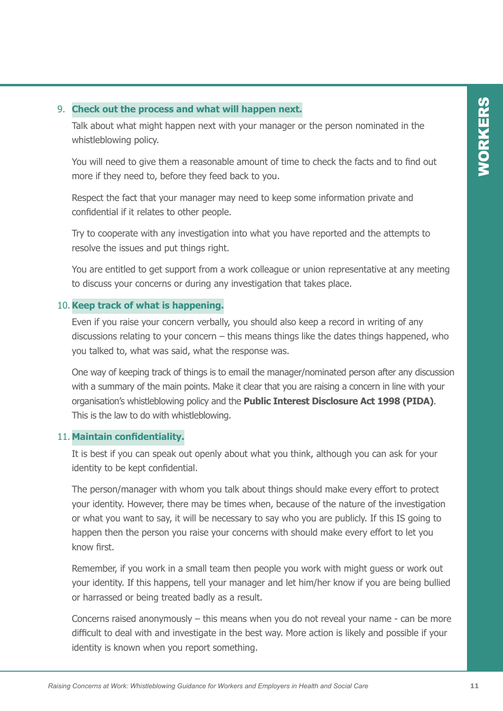#### 9. **Check out the process and what will happen next.**

Talk about what might happen next with your manager or the person nominated in the whistleblowing policy.

You will need to give them a reasonable amount of time to check the facts and to find out more if they need to, before they feed back to you.

Respect the fact that your manager may need to keep some information private and confidential if it relates to other people.

Try to cooperate with any investigation into what you have reported and the attempts to resolve the issues and put things right.

You are entitled to get support from a work colleague or union representative at any meeting to discuss your concerns or during any investigation that takes place.

#### 10.**Keep track of what is happening.**

Even if you raise your concern verbally, you should also keep a record in writing of any discussions relating to your concern – this means things like the dates things happened, who you talked to, what was said, what the response was.

One way of keeping track of things is to email the manager/nominated person after any discussion with a summary of the main points. Make it clear that you are raising a concern in line with your organisation's whistleblowing policy and the **Public Interest Disclosure Act 1998 (PIDA)**. This is the law to do with whistleblowing.

#### 11. **Maintain confidentiality.**

It is best if you can speak out openly about what you think, although you can ask for your identity to be kept confidential.

The person/manager with whom you talk about things should make every effort to protect your identity. However, there may be times when, because of the nature of the investigation or what you want to say, it will be necessary to say who you are publicly. If this IS going to happen then the person you raise your concerns with should make every effort to let you know first.

Remember, if you work in a small team then people you work with might guess or work out your identity. If this happens, tell your manager and let him/her know if you are being bullied or harrassed or being treated badly as a result.

Concerns raised anonymously – this means when you do not reveal your name - can be more difficult to deal with and investigate in the best way. More action is likely and possible if your identity is known when you report something.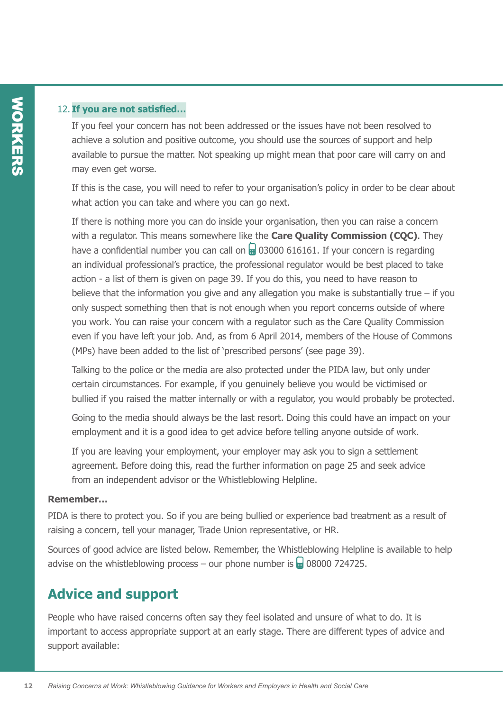<span id="page-11-0"></span>If you feel your concern has not been addressed or the issues have not been resolved to achieve a solution and positive outcome, you should use the sources of support and help available to pursue the matter. Not speaking up might mean that poor care will carry on and may even get worse.

If this is the case, you will need to refer to your organisation's policy in order to be clear about what action you can take and where you can go next.

If there is nothing more you can do inside your organisation, then you can raise a concern with a regulator. This means somewhere like the **Care Quality Commission (CQC)**. They have a confidential number you can call on  $\frac{1}{2}$  03000 616161. If your concern is regarding an individual professional's practice, the professional regulator would be best placed to take action - a list of them is given on [page 39](#page-38-2). If you do this, you need to have reason to believe that the information you give and any allegation you make is substantially true – if you only suspect something then that is not enough when you report concerns outside of where you work. You can raise your concern with a regulator such as the Care Quality Commission even if you have left your job. And, as from 6 April 2014, members of the House of Commons (MPs) have been added to the list of 'prescribed persons' (see [page 39](#page-38-2)).

Talking to the police or the media are also protected under the PIDA law, but only under certain circumstances. For example, if you genuinely believe you would be victimised or bullied if you raised the matter internally or with a regulator, you would probably be protected.

Going to the media should always be the last resort. Doing this could have an impact on your employment and it is a good idea to get advice before telling anyone outside of work.

If you are leaving your employment, your employer may ask you to sign a settlement agreement. Before doing this, read the further information on [page 25](#page-24-1) and seek advice from an independent advisor or the Whistleblowing Helpline.

#### **Remember…**

PIDA is there to protect you. So if you are being bullied or experience bad treatment as a result of raising a concern, tell your manager, Trade Union representative, or HR.

Sources of good advice are listed below. Remember, the Whistleblowing Helpline is available to help advise on the whistleblowing process – our phone number is  $\blacksquare$  08000 724725.

# <span id="page-11-1"></span>**Advice and support**

People who have raised concerns often say they feel isolated and unsure of what to do. It is important to access appropriate support at an early stage. There are different types of advice and support available: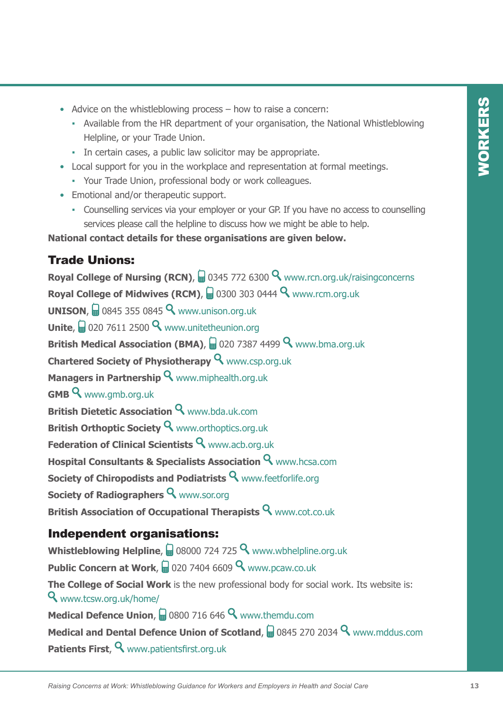- Advice on the whistleblowing process how to raise a concern:
	- Available from the HR department of your organisation, the National Whistleblowing Helpline, or your Trade Union.
	- In certain cases, a public law solicitor may be appropriate.
- Local support for you in the workplace and representation at formal meetings.
	- Your Trade Union, professional body or work colleagues.
- Emotional and/or therapeutic support.
	- Counselling services via your employer or your GP. If you have no access to counselling services please call the helpline to discuss how we might be able to help.

**National contact details for these organisations are given below.**

### Trade Unions:

**Royal College of Nursing (RCN), a** 0345 772 6300 **Q** [www.rcn.org.uk/raisingconcerns](http://www.rcn.org.uk/raisingconcerns) **Royal College of Midwives (RCM), and 0300 303 0444 Www.rcm.org.uk UNISON,**  $\Box$  0845 355 0845  $\Box$  [www.unison.org.uk](http://www.unison.org.uk) **Unite**,  $\mathbf{u}$  020 7611 2500  $\mathbf{Q}$  [www.unitetheunion.org](http://www.unitetheunion.org) **British Medical Association (BMA),**  $\Box$  **020 7387 4499**  $\degree$  **[www.bma.org.uk](http://www.bma.org.uk) Chartered Society of Physiotherapy** [www.csp.org.uk](http://www.csp.org.uk)  **Managers in Partnership Q** www.miphealth.org.uk **GMB** [www.gmb.org.uk](http://www.gmb.org.uk) **British Dietetic Association Q** [www.bda.uk.com](http://www.bda.uk.com) **British Orthoptic Society Q** [www.orthoptics.org.uk](http://www.orthoptics.org.uk) **Federation of Clinical Scientists Q** [www.acb.org.uk](http://www.acb.org.uk) **Hospital Consultants & Specialists Association Q www.hcsa.com Society of Chiropodists and Podiatrists Q** www.feetforlife.org **Society of Radiographers Q** www.sor.org **British Association of Occupational Therapists Q** [www.cot.co.uk](http://www.cot.co.uk)

### Independent organisations:

Whistleblowing Helpline, a 08000 724 725 Www.wbhelpline.org.uk Public Concern at Work, **a** 020 7404 6609 Www.pcaw.co.uk **The College of Social Work** is the new professional body for social work. Its website is: [www.tcsw.org.uk/home/](http://www.tcsw.org.uk/home/) Medical Defence Union, a 0800 716 646 Q [www.themdu.com](http://www.themdu.com/) **Medical and Dental Defence Union of Scotland, and 0845 270 2034 Q [www.mddus.com](http://www.mddus.com) Patients First, Q** [www.patientsfirst.org.uk](http://www.patientsfirst.org.uk)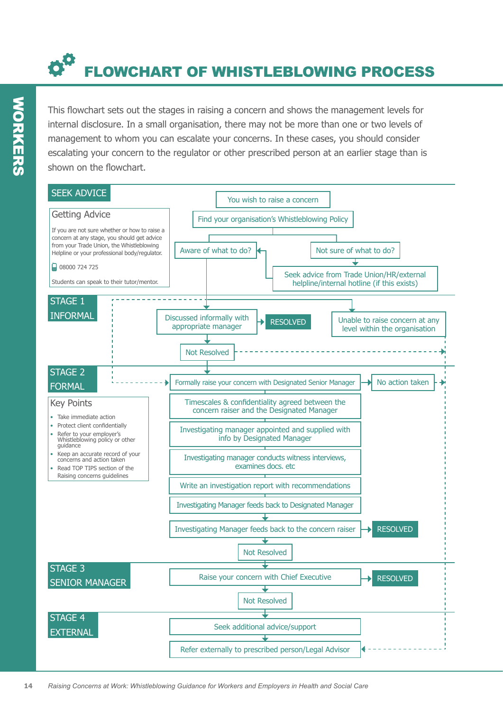# <span id="page-13-0"></span>O. FLOWCHART OF WHISTLEBLOWING PROCESS

This flowchart sets out the stages in raising a concern and shows the management levels for internal disclosure. In a small organisation, there may not be more than one or two levels of management to whom you can escalate your concerns. In these cases, you should consider escalating your concern to the regulator or other prescribed person at an earlier stage than is shown on the flowchart.

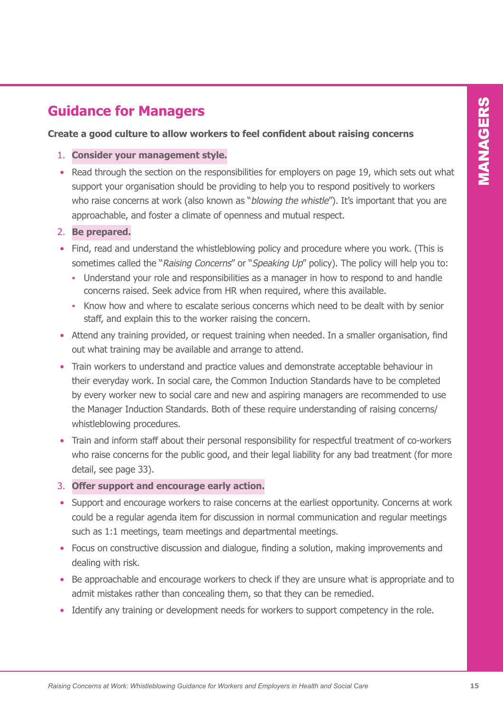# <span id="page-14-0"></span>**Guidance for Managers**

#### **Create a good culture to allow workers to feel confident about raising concerns**

#### 1. **Consider your management style.**

• Read through the section on the responsibilities for employers on [page 19](#page-18-1), which sets out what support your organisation should be providing to help you to respond positively to workers who raise concerns at work (also known as "blowing the whistle"). It's important that you are approachable, and foster a climate of openness and mutual respect.

#### 2. **Be prepared.**

- Find, read and understand the whistleblowing policy and procedure where you work. (This is sometimes called the "Raising Concerns" or "Speaking Up" policy). The policy will help you to:
	- Understand your role and responsibilities as a manager in how to respond to and handle concerns raised. Seek advice from HR when required, where this available.
	- Know how and where to escalate serious concerns which need to be dealt with by senior staff, and explain this to the worker raising the concern.
- Attend any training provided, or request training when needed. In a smaller organisation, find out what training may be available and arrange to attend.
- Train workers to understand and practice values and demonstrate acceptable behaviour in their everyday work. In social care, the Common Induction Standards have to be completed by every worker new to social care and new and aspiring managers are recommended to use the Manager Induction Standards. Both of these require understanding of raising concerns/ whistleblowing procedures.
- Train and inform staff about their personal responsibility for respectful treatment of co-workers who raise concerns for the public good, and their legal liability for any bad treatment (for more detail, see [page 33](#page-32-0)).
- 3. **Offer support and encourage early action.**
- Support and encourage workers to raise concerns at the earliest opportunity. Concerns at work could be a regular agenda item for discussion in normal communication and regular meetings such as 1:1 meetings, team meetings and departmental meetings.
- Focus on constructive discussion and dialogue, finding a solution, making improvements and dealing with risk.
- Be approachable and encourage workers to check if they are unsure what is appropriate and to admit mistakes rather than concealing them, so that they can be remedied.
- Identify any training or development needs for workers to support competency in the role.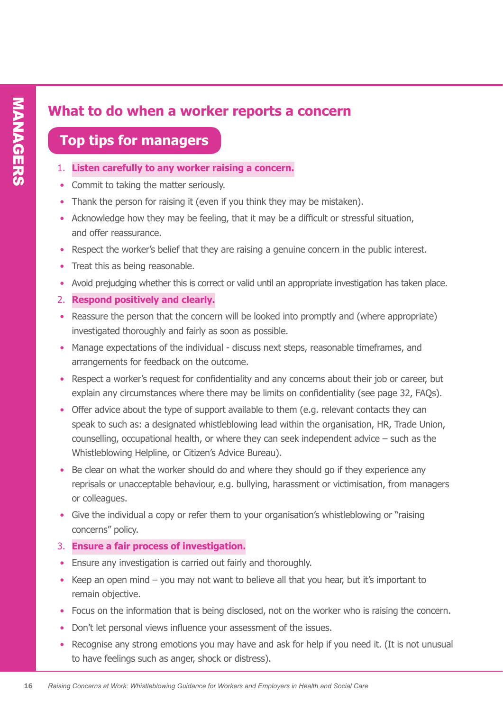# <span id="page-15-0"></span>**What to do when a worker reports a concern**

# **Top tips for managers**

- 1. **Listen carefully to any worker raising a concern.**
- Commit to taking the matter seriously.
- Thank the person for raising it (even if you think they may be mistaken).
- Acknowledge how they may be feeling, that it may be a difficult or stressful situation, and offer reassurance.
- Respect the worker's belief that they are raising a genuine concern in the public interest.
- Treat this as being reasonable.
- Avoid prejudging whether this is correct or valid until an appropriate investigation has taken place.
- 2. **Respond positively and clearly.**
- Reassure the person that the concern will be looked into promptly and (where appropriate) investigated thoroughly and fairly as soon as possible.
- Manage expectations of the individual discuss next steps, reasonable timeframes, and arrangements for feedback on the outcome.
- Respect a worker's request for confidentiality and any concerns about their job or career, but explain any circumstances where there may be limits on confidentiality (see [page 32](#page-31-1), FAQs).
- Offer advice about the type of support available to them (e.g. relevant contacts they can speak to such as: a designated whistleblowing lead within the organisation, HR, Trade Union, counselling, occupational health, or where they can seek independent advice – such as the Whistleblowing Helpline, or Citizen's Advice Bureau).
- Be clear on what the worker should do and where they should go if they experience any reprisals or unacceptable behaviour, e.g. bullying, harassment or victimisation, from managers or colleagues.
- Give the individual a copy or refer them to your organisation's whistleblowing or "raising" concerns" policy.
- 3. **Ensure a fair process of investigation.**
- Ensure any investigation is carried out fairly and thoroughly.
- Keep an open mind you may not want to believe all that you hear, but it's important to remain objective.
- Focus on the information that is being disclosed, not on the worker who is raising the concern.
- Don't let personal views influence your assessment of the issues.
- Recognise any strong emotions you may have and ask for help if you need it. (It is not unusual to have feelings such as anger, shock or distress).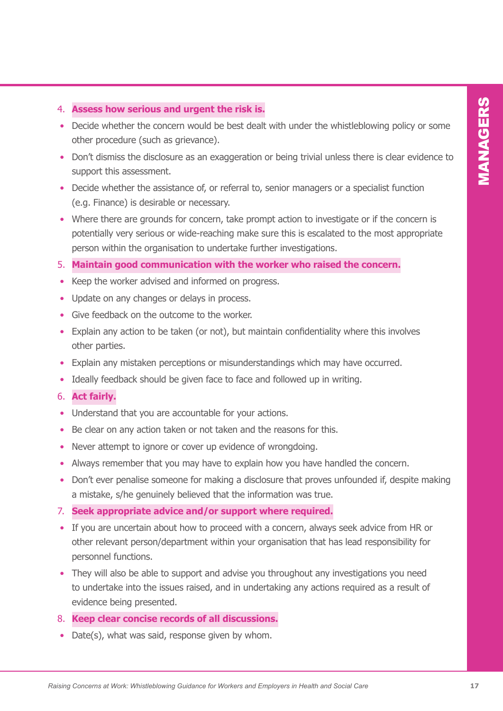#### 4. **Assess how serious and urgent the risk is.**

- Decide whether the concern would be best dealt with under the whistleblowing policy or some other procedure (such as grievance).
- Don't dismiss the disclosure as an exaggeration or being trivial unless there is clear evidence to support this assessment.
- Decide whether the assistance of, or referral to, senior managers or a specialist function (e.g. Finance) is desirable or necessary.
- Where there are grounds for concern, take prompt action to investigate or if the concern is potentially very serious or wide-reaching make sure this is escalated to the most appropriate person within the organisation to undertake further investigations.
- 5. **Maintain good communication with the worker who raised the concern.**
- Keep the worker advised and informed on progress.
- Update on any changes or delays in process.
- Give feedback on the outcome to the worker.
- Explain any action to be taken (or not), but maintain confidentiality where this involves other parties.
- Explain any mistaken perceptions or misunderstandings which may have occurred.
- Ideally feedback should be given face to face and followed up in writing.
- 6. **Act fairly.**
- Understand that you are accountable for your actions.
- Be clear on any action taken or not taken and the reasons for this.
- Never attempt to ignore or cover up evidence of wrongdoing.
- Always remember that you may have to explain how you have handled the concern.
- Don't ever penalise someone for making a disclosure that proves unfounded if, despite making a mistake, s/he genuinely believed that the information was true.
- 7. **Seek appropriate advice and/or support where required.**
- If you are uncertain about how to proceed with a concern, always seek advice from HR or other relevant person/department within your organisation that has lead responsibility for personnel functions.
- They will also be able to support and advise you throughout any investigations you need to undertake into the issues raised, and in undertaking any actions required as a result of evidence being presented.
- 8. **Keep clear concise records of all discussions.**
- Date(s), what was said, response given by whom.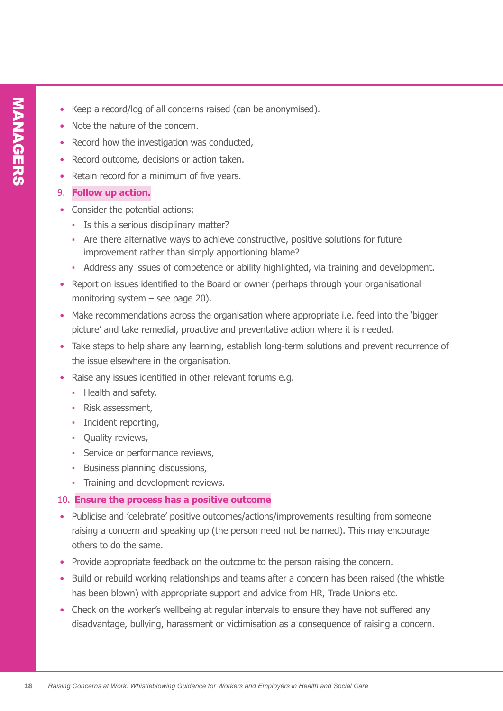- Keep a record/log of all concerns raised (can be anonymised).
- Note the nature of the concern.
- Record how the investigation was conducted,
- Record outcome, decisions or action taken.
- Retain record for a minimum of five years.
- 9. **Follow up action.**
- Consider the potential actions:
	- Is this a serious disciplinary matter?
	- Are there alternative ways to achieve constructive, positive solutions for future improvement rather than simply apportioning blame?
	- Address any issues of competence or ability highlighted, via training and development.
- Report on issues identified to the Board or owner (perhaps through your organisational monitoring system  $-$  see [page 20](#page-19-0)).
- Make recommendations across the organisation where appropriate i.e. feed into the 'bigger picture' and take remedial, proactive and preventative action where it is needed.
- Take steps to help share any learning, establish long-term solutions and prevent recurrence of the issue elsewhere in the organisation.
- Raise any issues identified in other relevant forums e.g.
	- Health and safety,
	- Risk assessment,
	- Incident reporting,
	- Quality reviews,
	- **•** Service or performance reviews,
	- **Business planning discussions,**
	- **Training and development reviews.**

### 10. **Ensure the process has a positive outcome**

- Publicise and 'celebrate' positive outcomes/actions/improvements resulting from someone raising a concern and speaking up (the person need not be named). This may encourage others to do the same.
- Provide appropriate feedback on the outcome to the person raising the concern.
- Build or rebuild working relationships and teams after a concern has been raised (the whistle has been blown) with appropriate support and advice from HR, Trade Unions etc.
- Check on the worker's wellbeing at regular intervals to ensure they have not suffered any disadvantage, bullying, harassment or victimisation as a consequence of raising a concern.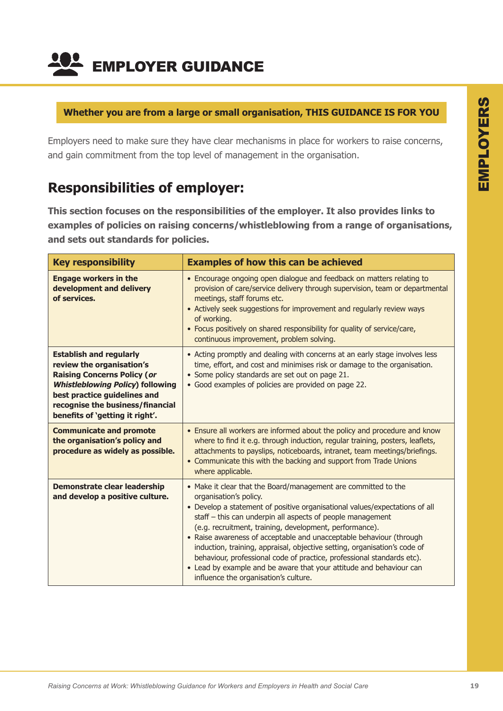**EMPLOYERS** EMPLOYERS

<span id="page-18-0"></span>**EMPLOYER GUIDANCE** 

#### **Whether you are from a large or small organisation, THIS GUIDANCE IS FOR YOU**

Employers need to make sure they have clear mechanisms in place for workers to raise concerns, and gain commitment from the top level of management in the organisation.

# <span id="page-18-1"></span>**Responsibilities of employer:**

**This section focuses on the responsibilities of the employer. It also provides links to examples of policies on raising concerns/whistleblowing from a range of organisations, and sets out standards for policies.**

| <b>Key responsibility</b>                                                                                                                                                                                                                           | <b>Examples of how this can be achieved</b>                                                                                                                                                                                                                                                                                                                                                                                                                                                                                                                                                                                                    |
|-----------------------------------------------------------------------------------------------------------------------------------------------------------------------------------------------------------------------------------------------------|------------------------------------------------------------------------------------------------------------------------------------------------------------------------------------------------------------------------------------------------------------------------------------------------------------------------------------------------------------------------------------------------------------------------------------------------------------------------------------------------------------------------------------------------------------------------------------------------------------------------------------------------|
| <b>Engage workers in the</b><br>development and delivery<br>of services.                                                                                                                                                                            | • Encourage ongoing open dialogue and feedback on matters relating to<br>provision of care/service delivery through supervision, team or departmental<br>meetings, staff forums etc.<br>• Actively seek suggestions for improvement and regularly review ways<br>of working.<br>• Focus positively on shared responsibility for quality of service/care,<br>continuous improvement, problem solving.                                                                                                                                                                                                                                           |
| <b>Establish and regularly</b><br>review the organisation's<br><b>Raising Concerns Policy (or</b><br><b>Whistleblowing Policy) following</b><br>best practice guidelines and<br>recognise the business/financial<br>benefits of 'getting it right'. | • Acting promptly and dealing with concerns at an early stage involves less<br>time, effort, and cost and minimises risk or damage to the organisation.<br>• Some policy standards are set out on page 21.<br>• Good examples of policies are provided on page 22.                                                                                                                                                                                                                                                                                                                                                                             |
| <b>Communicate and promote</b><br>the organisation's policy and<br>procedure as widely as possible.                                                                                                                                                 | • Ensure all workers are informed about the policy and procedure and know<br>where to find it e.g. through induction, regular training, posters, leaflets,<br>attachments to payslips, noticeboards, intranet, team meetings/briefings.<br>• Communicate this with the backing and support from Trade Unions<br>where applicable.                                                                                                                                                                                                                                                                                                              |
| Demonstrate clear leadership<br>and develop a positive culture.                                                                                                                                                                                     | • Make it clear that the Board/management are committed to the<br>organisation's policy.<br>• Develop a statement of positive organisational values/expectations of all<br>staff - this can underpin all aspects of people management<br>(e.g. recruitment, training, development, performance).<br>• Raise awareness of acceptable and unacceptable behaviour (through<br>induction, training, appraisal, objective setting, organisation's code of<br>behaviour, professional code of practice, professional standards etc).<br>• Lead by example and be aware that your attitude and behaviour can<br>influence the organisation's culture. |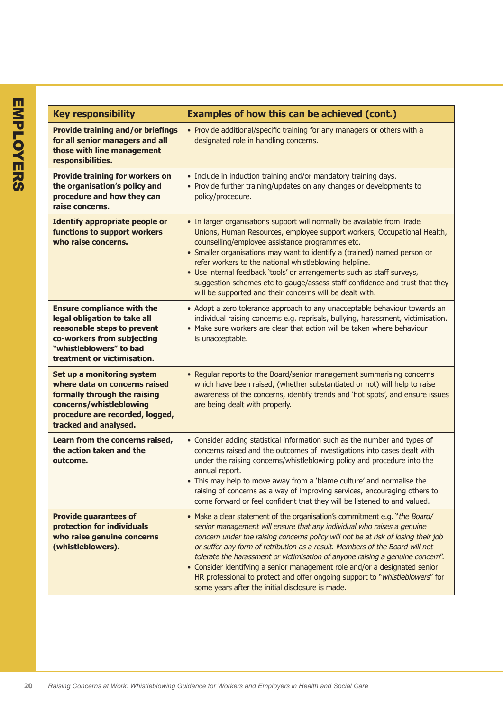<span id="page-19-0"></span>

| <b>Key responsibility</b>                                                                                                                                                                | <b>Examples of how this can be achieved (cont.)</b>                                                                                                                                                                                                                                                                                                                                                                                                                                                                                                                                                                           |
|------------------------------------------------------------------------------------------------------------------------------------------------------------------------------------------|-------------------------------------------------------------------------------------------------------------------------------------------------------------------------------------------------------------------------------------------------------------------------------------------------------------------------------------------------------------------------------------------------------------------------------------------------------------------------------------------------------------------------------------------------------------------------------------------------------------------------------|
| <b>Provide training and/or briefings</b><br>for all senior managers and all<br>those with line management<br>responsibilities.                                                           | • Provide additional/specific training for any managers or others with a<br>designated role in handling concerns.                                                                                                                                                                                                                                                                                                                                                                                                                                                                                                             |
| Provide training for workers on<br>the organisation's policy and<br>procedure and how they can<br>raise concerns.                                                                        | • Include in induction training and/or mandatory training days.<br>• Provide further training/updates on any changes or developments to<br>policy/procedure.                                                                                                                                                                                                                                                                                                                                                                                                                                                                  |
| <b>Identify appropriate people or</b><br>functions to support workers<br>who raise concerns.                                                                                             | • In larger organisations support will normally be available from Trade<br>Unions, Human Resources, employee support workers, Occupational Health,<br>counselling/employee assistance programmes etc.<br>• Smaller organisations may want to identify a (trained) named person or<br>refer workers to the national whistleblowing helpline.<br>• Use internal feedback 'tools' or arrangements such as staff surveys,<br>suggestion schemes etc to gauge/assess staff confidence and trust that they<br>will be supported and their concerns will be dealt with.                                                              |
| <b>Ensure compliance with the</b><br>legal obligation to take all<br>reasonable steps to prevent<br>co-workers from subjecting<br>"whistleblowers" to bad<br>treatment or victimisation. | • Adopt a zero tolerance approach to any unacceptable behaviour towards an<br>individual raising concerns e.g. reprisals, bullying, harassment, victimisation.<br>• Make sure workers are clear that action will be taken where behaviour<br>is unacceptable.                                                                                                                                                                                                                                                                                                                                                                 |
| Set up a monitoring system<br>where data on concerns raised<br>formally through the raising<br>concerns/whistleblowing<br>procedure are recorded, logged,<br>tracked and analysed.       | • Regular reports to the Board/senior management summarising concerns<br>which have been raised, (whether substantiated or not) will help to raise<br>awareness of the concerns, identify trends and 'hot spots', and ensure issues<br>are being dealt with properly.                                                                                                                                                                                                                                                                                                                                                         |
| Learn from the concerns raised,<br>the action taken and the<br>outcome.                                                                                                                  | • Consider adding statistical information such as the number and types of<br>concerns raised and the outcomes of investigations into cases dealt with<br>under the raising concerns/whistleblowing policy and procedure into the<br>annual report.<br>This may help to move away from a 'blame culture' and normalise the<br>raising of concerns as a way of improving services, encouraging others to<br>come forward or feel confident that they will be listened to and valued.                                                                                                                                            |
| <b>Provide guarantees of</b><br>protection for individuals<br>who raise genuine concerns<br>(whistleblowers).                                                                            | • Make a clear statement of the organisation's commitment e.g. "the Board/<br>senior management will ensure that any individual who raises a genuine<br>concern under the raising concerns policy will not be at risk of losing their job<br>or suffer any form of retribution as a result. Members of the Board will not<br>tolerate the harassment or victimisation of anyone raising a genuine concern".<br>• Consider identifying a senior management role and/or a designated senior<br>HR professional to protect and offer ongoing support to "whistleblowers" for<br>some years after the initial disclosure is made. |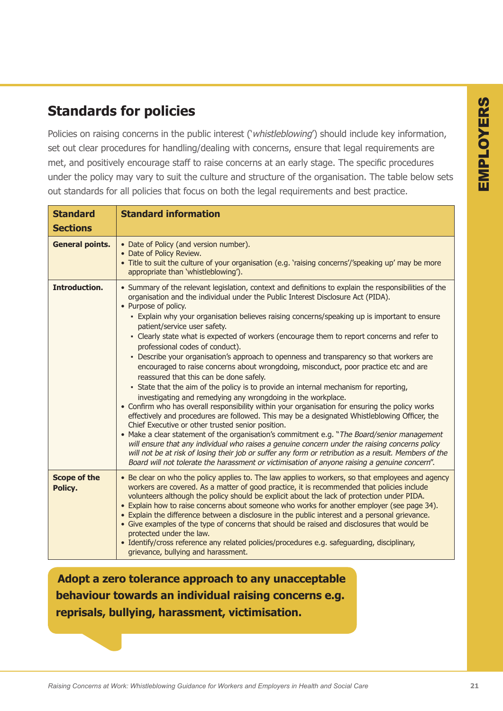# <span id="page-20-1"></span><span id="page-20-0"></span>**Standards for policies**

Policies on raising concerns in the public interest ('whistleblowing') should include key information, set out clear procedures for handling/dealing with concerns, ensure that legal requirements are met, and positively encourage staff to raise concerns at an early stage. The specific procedures under the policy may vary to suit the culture and structure of the organisation. The table below sets out standards for all policies that focus on both the legal requirements and best practice.

| <b>Standard</b>                | <b>Standard information</b>                                                                                                                                                                                                                                                                                                                                                                                                                                                                                                                                                                                                                                                                                                                                                                                                                                                                                                                                                                                                                                                                                                                                                                                                                                                                                                                                                                                                                                                                                                                     |
|--------------------------------|-------------------------------------------------------------------------------------------------------------------------------------------------------------------------------------------------------------------------------------------------------------------------------------------------------------------------------------------------------------------------------------------------------------------------------------------------------------------------------------------------------------------------------------------------------------------------------------------------------------------------------------------------------------------------------------------------------------------------------------------------------------------------------------------------------------------------------------------------------------------------------------------------------------------------------------------------------------------------------------------------------------------------------------------------------------------------------------------------------------------------------------------------------------------------------------------------------------------------------------------------------------------------------------------------------------------------------------------------------------------------------------------------------------------------------------------------------------------------------------------------------------------------------------------------|
| <b>Sections</b>                |                                                                                                                                                                                                                                                                                                                                                                                                                                                                                                                                                                                                                                                                                                                                                                                                                                                                                                                                                                                                                                                                                                                                                                                                                                                                                                                                                                                                                                                                                                                                                 |
| <b>General points.</b>         | • Date of Policy (and version number).<br>• Date of Policy Review.<br>. Title to suit the culture of your organisation (e.g. 'raising concerns'/'speaking up' may be more<br>appropriate than 'whistleblowing').                                                                                                                                                                                                                                                                                                                                                                                                                                                                                                                                                                                                                                                                                                                                                                                                                                                                                                                                                                                                                                                                                                                                                                                                                                                                                                                                |
| <b>Introduction.</b>           | • Summary of the relevant legislation, context and definitions to explain the responsibilities of the<br>organisation and the individual under the Public Interest Disclosure Act (PIDA).<br>• Purpose of policy.<br>- Explain why your organisation believes raising concerns/speaking up is important to ensure<br>patient/service user safety.<br>- Clearly state what is expected of workers (encourage them to report concerns and refer to<br>professional codes of conduct).<br>- Describe your organisation's approach to openness and transparency so that workers are<br>encouraged to raise concerns about wrongdoing, misconduct, poor practice etc and are<br>reassured that this can be done safely.<br>• State that the aim of the policy is to provide an internal mechanism for reporting,<br>investigating and remedying any wrongdoing in the workplace.<br>• Confirm who has overall responsibility within your organisation for ensuring the policy works<br>effectively and procedures are followed. This may be a designated Whistleblowing Officer, the<br>Chief Executive or other trusted senior position.<br>• Make a clear statement of the organisation's commitment e.g. "The Board/senior management<br>will ensure that any individual who raises a genuine concern under the raising concerns policy<br>will not be at risk of losing their job or suffer any form or retribution as a result. Members of the<br>Board will not tolerate the harassment or victimisation of anyone raising a genuine concern". |
| <b>Scope of the</b><br>Policy. | • Be clear on who the policy applies to. The law applies to workers, so that employees and agency<br>workers are covered. As a matter of good practice, it is recommended that policies include<br>volunteers although the policy should be explicit about the lack of protection under PIDA.<br>• Explain how to raise concerns about someone who works for another employer (see page 34).<br>• Explain the difference between a disclosure in the public interest and a personal grievance.<br>• Give examples of the type of concerns that should be raised and disclosures that would be<br>protected under the law.<br>• Identify/cross reference any related policies/procedures e.g. safeguarding, disciplinary,<br>grievance, bullying and harassment.                                                                                                                                                                                                                                                                                                                                                                                                                                                                                                                                                                                                                                                                                                                                                                                 |

**Adopt a zero tolerance approach to any unacceptable behaviour towards an individual raising concerns e.g. reprisals, bullying, harassment, victimisation.**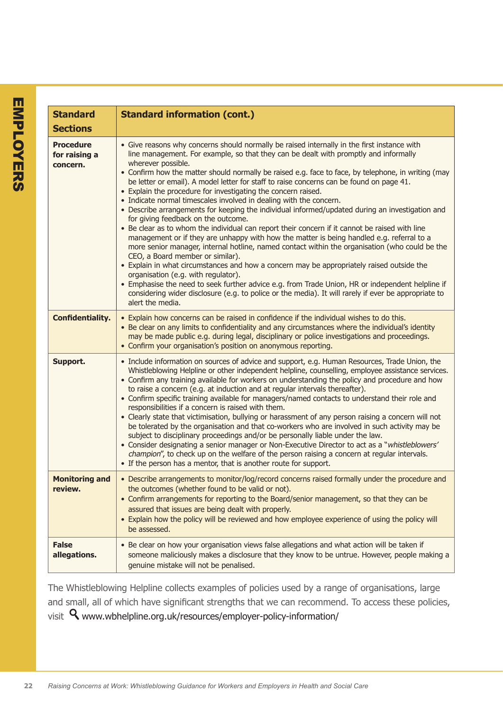| <b>Standard</b><br><b>Sections</b>            | <b>Standard information (cont.)</b>                                                                                                                                                                                                                                                                                                                                                                                                                                                                                                                                                                                                                                                                                                                                                                                                                                                                                                                                                                                                                                                                                                                                                                                                                                                                                                                                                                    |
|-----------------------------------------------|--------------------------------------------------------------------------------------------------------------------------------------------------------------------------------------------------------------------------------------------------------------------------------------------------------------------------------------------------------------------------------------------------------------------------------------------------------------------------------------------------------------------------------------------------------------------------------------------------------------------------------------------------------------------------------------------------------------------------------------------------------------------------------------------------------------------------------------------------------------------------------------------------------------------------------------------------------------------------------------------------------------------------------------------------------------------------------------------------------------------------------------------------------------------------------------------------------------------------------------------------------------------------------------------------------------------------------------------------------------------------------------------------------|
| <b>Procedure</b><br>for raising a<br>concern. | • Give reasons why concerns should normally be raised internally in the first instance with<br>line management. For example, so that they can be dealt with promptly and informally<br>wherever possible.<br>• Confirm how the matter should normally be raised e.g. face to face, by telephone, in writing (may<br>be letter or email). A model letter for staff to raise concerns can be found on page 41.<br>• Explain the procedure for investigating the concern raised.<br>• Indicate normal timescales involved in dealing with the concern.<br>• Describe arrangements for keeping the individual informed/updated during an investigation and<br>for giving feedback on the outcome.<br>• Be clear as to whom the individual can report their concern if it cannot be raised with line<br>management or if they are unhappy with how the matter is being handled e.g. referral to a<br>more senior manager, internal hotline, named contact within the organisation (who could be the<br>CEO, a Board member or similar).<br>• Explain in what circumstances and how a concern may be appropriately raised outside the<br>organisation (e.g. with regulator).<br>• Emphasise the need to seek further advice e.g. from Trade Union, HR or independent helpline if<br>considering wider disclosure (e.g. to police or the media). It will rarely if ever be appropriate to<br>alert the media. |
| <b>Confidentiality.</b>                       | • Explain how concerns can be raised in confidence if the individual wishes to do this.<br>. Be clear on any limits to confidentiality and any circumstances where the individual's identity<br>may be made public e.g. during legal, disciplinary or police investigations and proceedings.<br>• Confirm your organisation's position on anonymous reporting.                                                                                                                                                                                                                                                                                                                                                                                                                                                                                                                                                                                                                                                                                                                                                                                                                                                                                                                                                                                                                                         |
| Support.                                      | • Include information on sources of advice and support, e.g. Human Resources, Trade Union, the<br>Whistleblowing Helpline or other independent helpline, counselling, employee assistance services.<br>• Confirm any training available for workers on understanding the policy and procedure and how<br>to raise a concern (e.g. at induction and at regular intervals thereafter).<br>• Confirm specific training available for managers/named contacts to understand their role and<br>responsibilities if a concern is raised with them.<br>• Clearly state that victimisation, bullying or harassment of any person raising a concern will not<br>be tolerated by the organisation and that co-workers who are involved in such activity may be<br>subject to disciplinary proceedings and/or be personally liable under the law.<br>• Consider designating a senior manager or Non-Executive Director to act as a "whistleblowers'<br>champion", to check up on the welfare of the person raising a concern at regular intervals.<br>• If the person has a mentor, that is another route for support.                                                                                                                                                                                                                                                                                            |
| <b>Monitoring and</b><br>review.              | • Describe arrangements to monitor/log/record concerns raised formally under the procedure and<br>the outcomes (whether found to be valid or not).<br>• Confirm arrangements for reporting to the Board/senior management, so that they can be<br>assured that issues are being dealt with properly.<br>• Explain how the policy will be reviewed and how employee experience of using the policy will<br>be assessed.                                                                                                                                                                                                                                                                                                                                                                                                                                                                                                                                                                                                                                                                                                                                                                                                                                                                                                                                                                                 |
| <b>False</b><br>allegations.                  | • Be clear on how your organisation views false allegations and what action will be taken if<br>someone maliciously makes a disclosure that they know to be untrue. However, people making a<br>genuine mistake will not be penalised.                                                                                                                                                                                                                                                                                                                                                                                                                                                                                                                                                                                                                                                                                                                                                                                                                                                                                                                                                                                                                                                                                                                                                                 |

<span id="page-21-0"></span>The Whistleblowing Helpline collects examples of policies used by a range of organisations, large and small, all of which have significant strengths that we can recommend. To access these policies, visit  $Q$  [www.wbhelpline.org.uk/resources/employer-policy-information/](http://www.wbhelpline.org.uk/resources/employer-policy-information/)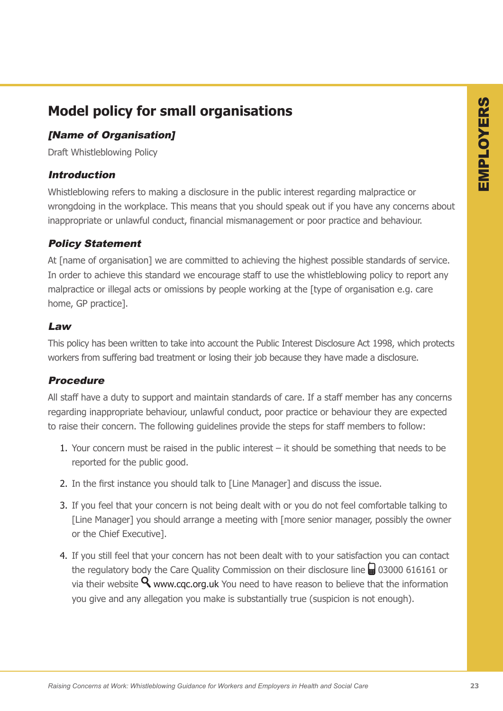# <span id="page-22-0"></span>**Model policy for small organisations**

### [Name of Organisation]

Draft Whistleblowing Policy

### Introduction

Whistleblowing refers to making a disclosure in the public interest regarding malpractice or wrongdoing in the workplace. This means that you should speak out if you have any concerns about inappropriate or unlawful conduct, financial mismanagement or poor practice and behaviour.

### Policy Statement

At [name of organisation] we are committed to achieving the highest possible standards of service. In order to achieve this standard we encourage staff to use the whistleblowing policy to report any malpractice or illegal acts or omissions by people working at the [type of organisation e.g. care home, GP practice].

#### Law

This policy has been written to take into account the Public Interest Disclosure Act 1998, which protects workers from suffering bad treatment or losing their job because they have made a disclosure.

### Procedure

All staff have a duty to support and maintain standards of care. If a staff member has any concerns regarding inappropriate behaviour, unlawful conduct, poor practice or behaviour they are expected to raise their concern. The following guidelines provide the steps for staff members to follow:

- 1. Your concern must be raised in the public interest it should be something that needs to be reported for the public good.
- 2. In the first instance you should talk to [Line Manager] and discuss the issue.
- 3. If you feel that your concern is not being dealt with or you do not feel comfortable talking to [Line Manager] you should arrange a meeting with [more senior manager, possibly the owner or the Chief Executive].
- 4. If you still feel that your concern has not been dealt with to your satisfaction you can contact the regulatory body the Care Quality Commission on their disclosure line  $\Box$  03000 616161 or via their website  $\mathsf Q$  [www.cqc.org.uk](http://www.cqc.org.uk) You need to have reason to believe that the information you give and any allegation you make is substantially true (suspicion is not enough).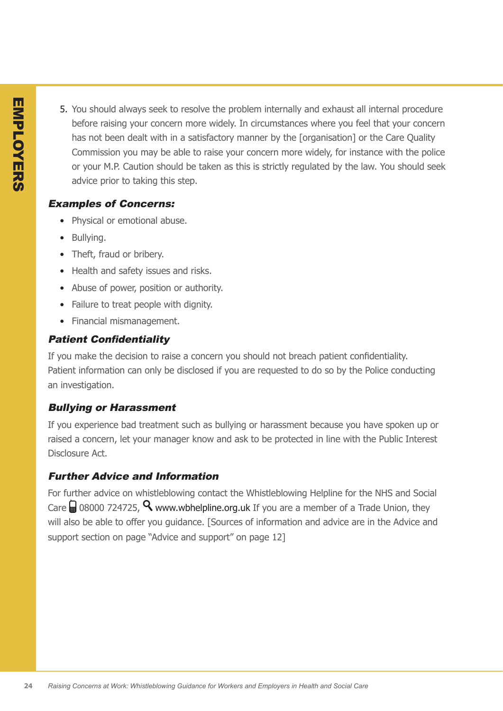5. You should always seek to resolve the problem internally and exhaust all internal procedure before raising your concern more widely. In circumstances where you feel that your concern has not been dealt with in a satisfactory manner by the [organisation] or the Care Quality Commission you may be able to raise your concern more widely, for instance with the police or your M.P. Caution should be taken as this is strictly regulated by the law. You should seek advice prior to taking this step.

### Examples of Concerns:

- Physical or emotional abuse.
- Bullying.
- Theft, fraud or bribery.
- Health and safety issues and risks.
- Abuse of power, position or authority.
- Failure to treat people with dignity.
- Financial mismanagement.

### Patient Confidentiality

If you make the decision to raise a concern you should not breach patient confidentiality. Patient information can only be disclosed if you are requested to do so by the Police conducting an investigation.

### Bullying or Harassment

If you experience bad treatment such as bullying or harassment because you have spoken up or raised a concern, let your manager know and ask to be protected in line with the Public Interest Disclosure Act.

### Further Advice and Information

For further advice on whistleblowing contact the Whistleblowing Helpline for the NHS and Social Care  $\Box$  08000 724725,  $\triangleleft$  [www.wbhelpline.org.uk](http://www.wbhelpline.org.uk) If you are a member of a Trade Union, they will also be able to offer you guidance. [Sources of information and advice are in the Advice and support section on page ["Advice and support" on page 12](#page-11-1)]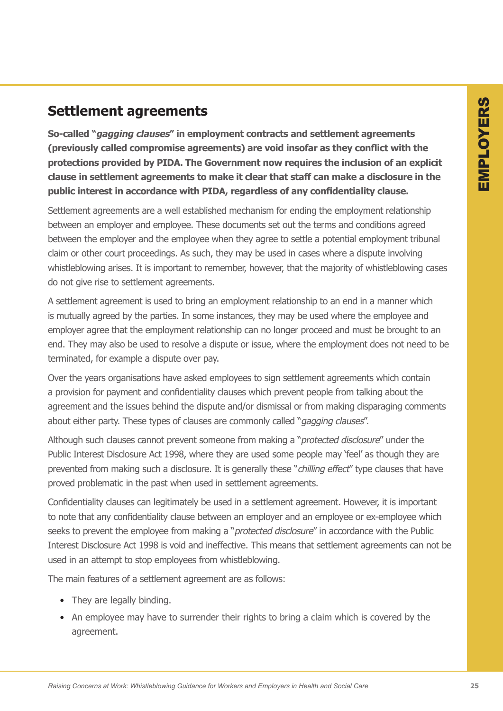# <span id="page-24-1"></span><span id="page-24-0"></span>**Settlement agreements**

**So-called "gagging clauses" in employment contracts and settlement agreements (previously called compromise agreements) are void insofar as they conflict with the protections provided by PIDA. The Government now requires the inclusion of an explicit clause in settlement agreements to make it clear that staff can make a disclosure in the public interest in accordance with PIDA, regardless of any confidentiality clause.**

Settlement agreements are a well established mechanism for ending the employment relationship between an employer and employee. These documents set out the terms and conditions agreed between the employer and the employee when they agree to settle a potential employment tribunal claim or other court proceedings. As such, they may be used in cases where a dispute involving whistleblowing arises. It is important to remember, however, that the majority of whistleblowing cases do not give rise to settlement agreements.

A settlement agreement is used to bring an employment relationship to an end in a manner which is mutually agreed by the parties. In some instances, they may be used where the employee and employer agree that the employment relationship can no longer proceed and must be brought to an end. They may also be used to resolve a dispute or issue, where the employment does not need to be terminated, for example a dispute over pay.

Over the years organisations have asked employees to sign settlement agreements which contain a provision for payment and confidentiality clauses which prevent people from talking about the agreement and the issues behind the dispute and/or dismissal or from making disparaging comments about either party. These types of clauses are commonly called "gagging clauses".

Although such clauses cannot prevent someone from making a "*protected disclosure*" under the Public Interest Disclosure Act 1998, where they are used some people may 'feel' as though they are prevented from making such a disclosure. It is generally these "chilling effect" type clauses that have proved problematic in the past when used in settlement agreements.

Confidentiality clauses can legitimately be used in a settlement agreement. However, it is important to note that any confidentiality clause between an employer and an employee or ex-employee which seeks to prevent the employee from making a "*protected disclosure*" in accordance with the Public Interest Disclosure Act 1998 is void and ineffective. This means that settlement agreements can not be used in an attempt to stop employees from whistleblowing.

The main features of a settlement agreement are as follows:

- They are legally binding.
- An employee may have to surrender their rights to bring a claim which is covered by the agreement.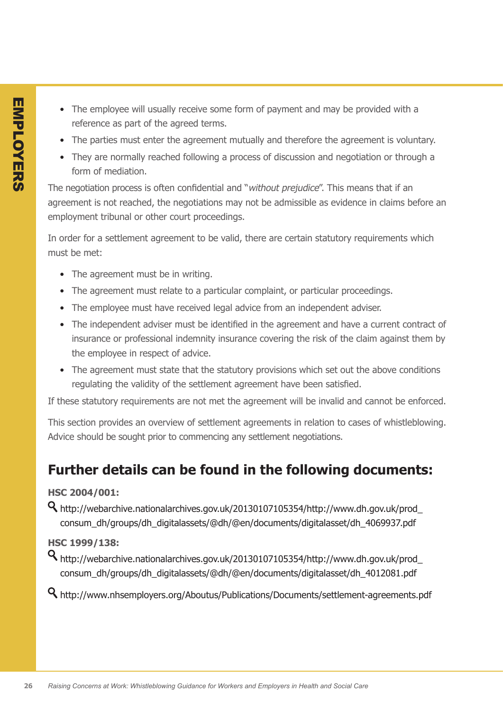- The employee will usually receive some form of payment and may be provided with a reference as part of the agreed terms.
- The parties must enter the agreement mutually and therefore the agreement is voluntary.
- They are normally reached following a process of discussion and negotiation or through a form of mediation.

The negotiation process is often confidential and "without prejudice". This means that if an agreement is not reached, the negotiations may not be admissible as evidence in claims before an employment tribunal or other court proceedings.

In order for a settlement agreement to be valid, there are certain statutory requirements which must be met:

- The agreement must be in writing.
- The agreement must relate to a particular complaint, or particular proceedings.
- The employee must have received legal advice from an independent adviser.
- The independent adviser must be identified in the agreement and have a current contract of insurance or professional indemnity insurance covering the risk of the claim against them by the employee in respect of advice.
- The agreement must state that the statutory provisions which set out the above conditions regulating the validity of the settlement agreement have been satisfied.

If these statutory requirements are not met the agreement will be invalid and cannot be enforced.

This section provides an overview of settlement agreements in relation to cases of whistleblowing. Advice should be sought prior to commencing any settlement negotiations.

# **Further details can be found in the following documents:**

### **HSC 2004/001:**

[http://webarchive.nationalarchives.gov.uk/20130107105354/http://www.dh.gov.uk/prod\\_](http://webarchive.nationalarchives.gov.uk/20130107105354/http://www.dh.gov.uk/prod_consum_dh/groups/dh_digitalassets/@dh/@en/documents/digitalasset/dh_4069937.pdf) [consum\\_dh/groups/dh\\_digitalassets/@dh/@en/documents/digitalasset/dh\\_4069937.pdf](http://webarchive.nationalarchives.gov.uk/20130107105354/http://www.dh.gov.uk/prod_consum_dh/groups/dh_digitalassets/@dh/@en/documents/digitalasset/dh_4069937.pdf)

# **HSC 1999/138:**

[http://webarchive.nationalarchives.gov.uk/20130107105354/http://www.dh.gov.uk/prod\\_](http://webarchive.nationalarchives.gov.uk/20130107105354/http://www.dh.gov.uk/prod_consum_dh/groups/dh_digitalassets/@dh/@en/documents/digitalasset/dh_4012081.pdf) [consum\\_dh/groups/dh\\_digitalassets/@dh/@en/documents/digitalasset/dh\\_4012081.pdf](http://webarchive.nationalarchives.gov.uk/20130107105354/http://www.dh.gov.uk/prod_consum_dh/groups/dh_digitalassets/@dh/@en/documents/digitalasset/dh_4012081.pdf)

<http://www.nhsemployers.org/Aboutus/Publications/Documents/settlement-agreements.pdf>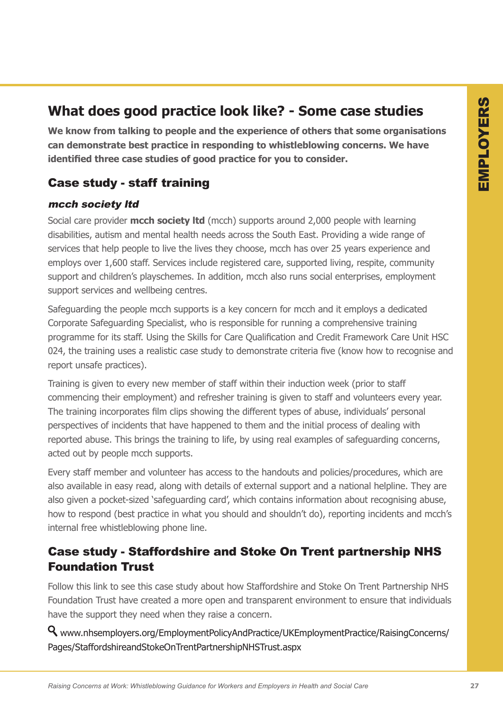# <span id="page-26-0"></span>**What does good practice look like? - Some case studies**

**We know from talking to people and the experience of others that some organisations can demonstrate best practice in responding to whistleblowing concerns. We have identified three case studies of good practice for you to consider.**

# Case study - staff training

### mcch society ltd

Social care provider **mcch society ltd** (mcch) supports around 2,000 people with learning disabilities, autism and mental health needs across the South East. Providing a wide range of services that help people to live the lives they choose, mcch has over 25 years experience and employs over 1,600 staff. Services include registered care, supported living, respite, community support and children's playschemes. In addition, mcch also runs social enterprises, employment support services and wellbeing centres.

Safeguarding the people mcch supports is a key concern for mcch and it employs a dedicated Corporate Safeguarding Specialist, who is responsible for running a comprehensive training programme for its staff. Using the Skills for Care Qualification and Credit Framework Care Unit HSC 024, the training uses a realistic case study to demonstrate criteria five (know how to recognise and report unsafe practices).

Training is given to every new member of staff within their induction week (prior to staff commencing their employment) and refresher training is given to staff and volunteers every year. The training incorporates film clips showing the different types of abuse, individuals' personal perspectives of incidents that have happened to them and the initial process of dealing with reported abuse. This brings the training to life, by using real examples of safeguarding concerns, acted out by people mcch supports.

Every staff member and volunteer has access to the handouts and policies/procedures, which are also available in easy read, along with details of external support and a national helpline. They are also given a pocket-sized 'safeguarding card', which contains information about recognising abuse, how to respond (best practice in what you should and shouldn't do), reporting incidents and mcch's internal free whistleblowing phone line.

# Case study - Staffordshire and Stoke On Trent partnership NHS Foundation Trust

Follow this link to see this case study about how Staffordshire and Stoke On Trent Partnership NHS Foundation Trust have created a more open and transparent environment to ensure that individuals have the support they need when they raise a concern.

[www.nhsemployers.org/EmploymentPolicyAndPractice/UKEmploymentPractice/RaisingConcerns/](http://www.nhsemployers.org/EmploymentPolicyAndPractice/UKEmploymentPractice/RaisingConcerns/Pages/StaffordshireandStokeOnTrentPartnershipNHSTrust.aspx) [Pages/StaffordshireandStokeOnTrentPartnershipNHSTrust.aspx](http://www.nhsemployers.org/EmploymentPolicyAndPractice/UKEmploymentPractice/RaisingConcerns/Pages/StaffordshireandStokeOnTrentPartnershipNHSTrust.aspx)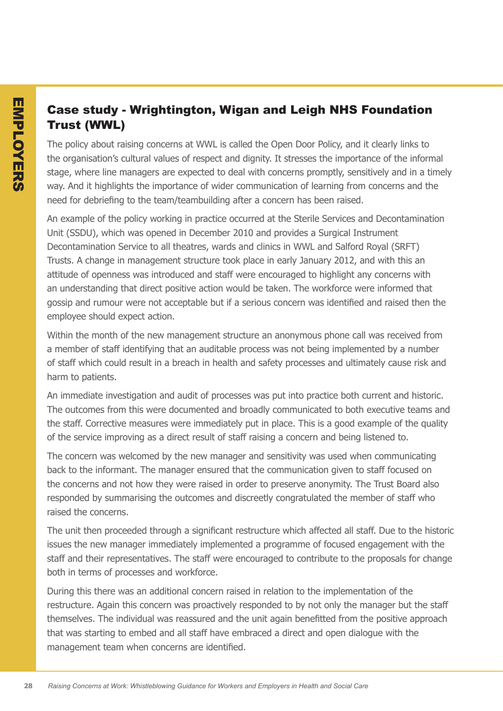# Case study - Wrightington, Wigan and Leigh NHS Foundation Trust (WWL)

The policy about raising concerns at WWL is called the Open Door Policy, and it clearly links to the organisation's cultural values of respect and dignity. It stresses the importance of the informal stage, where line managers are expected to deal with concerns promptly, sensitively and in a timely way. And it highlights the importance of wider communication of learning from concerns and the need for debriefing to the team/teambuilding after a concern has been raised.

An example of the policy working in practice occurred at the Sterile Services and Decontamination Unit (SSDU), which was opened in December 2010 and provides a Surgical Instrument Decontamination Service to all theatres, wards and clinics in WWL and Salford Royal (SRFT) Trusts. A change in management structure took place in early January 2012, and with this an attitude of openness was introduced and staff were encouraged to highlight any concerns with an understanding that direct positive action would be taken. The workforce were informed that gossip and rumour were not acceptable but if a serious concern was identified and raised then the employee should expect action.

Within the month of the new management structure an anonymous phone call was received from a member of staff identifying that an auditable process was not being implemented by a number of staff which could result in a breach in health and safety processes and ultimately cause risk and harm to patients.

An immediate investigation and audit of processes was put into practice both current and historic. The outcomes from this were documented and broadly communicated to both executive teams and the staff. Corrective measures were immediately put in place. This is a good example of the quality of the service improving as a direct result of staff raising a concern and being listened to.

The concern was welcomed by the new manager and sensitivity was used when communicating back to the informant. The manager ensured that the communication given to staff focused on the concerns and not how they were raised in order to preserve anonymity. The Trust Board also responded by summarising the outcomes and discreetly congratulated the member of staff who raised the concerns.

The unit then proceeded through a significant restructure which affected all staff. Due to the historic issues the new manager immediately implemented a programme of focused engagement with the staff and their representatives. The staff were encouraged to contribute to the proposals for change both in terms of processes and workforce.

During this there was an additional concern raised in relation to the implementation of the restructure. Again this concern was proactively responded to by not only the manager but the staff themselves. The individual was reassured and the unit again benefitted from the positive approach that was starting to embed and all staff have embraced a direct and open dialogue with the management team when concerns are identified.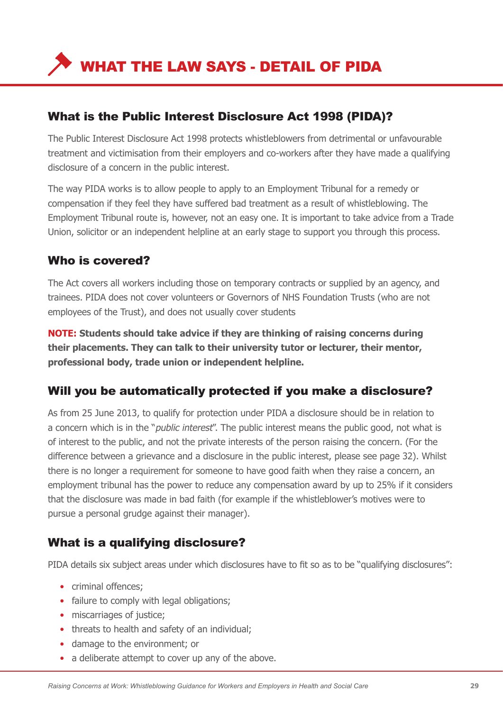<span id="page-28-1"></span><span id="page-28-0"></span>

### What is the Public Interest Disclosure Act 1998 (PIDA)?

The Public Interest Disclosure Act 1998 protects whistleblowers from detrimental or unfavourable treatment and victimisation from their employers and co-workers after they have made a qualifying disclosure of a concern in the public interest.

The way PIDA works is to allow people to apply to an Employment Tribunal for a remedy or compensation if they feel they have suffered bad treatment as a result of whistleblowing. The Employment Tribunal route is, however, not an easy one. It is important to take advice from a Trade Union, solicitor or an independent helpline at an early stage to support you through this process.

### Who is covered?

The Act covers all workers including those on temporary contracts or supplied by an agency, and trainees. PIDA does not cover volunteers or Governors of NHS Foundation Trusts (who are not employees of the Trust), and does not usually cover students

**NOTE: Students should take advice if they are thinking of raising concerns during their placements. They can talk to their university tutor or lecturer, their mentor, professional body, trade union or independent helpline.**

# Will you be automatically protected if you make a disclosure?

As from 25 June 2013, to qualify for protection under PIDA a disclosure should be in relation to a concern which is in the "*public interest"*. The public interest means the public good, not what is of interest to the public, and not the private interests of the person raising the concern. (For the difference between a grievance and a disclosure in the public interest, please see [page 32](#page-31-2)). Whilst there is no longer a requirement for someone to have good faith when they raise a concern, an employment tribunal has the power to reduce any compensation award by up to 25% if it considers that the disclosure was made in bad faith (for example if the whistleblower's motives were to pursue a personal grudge against their manager).

# What is a qualifying disclosure?

PIDA details six subject areas under which disclosures have to fit so as to be "qualifying disclosures":

- criminal offences:
- failure to comply with legal obligations;
- miscarriages of justice;
- threats to health and safety of an individual:
- damage to the environment; or
- a deliberate attempt to cover up any of the above.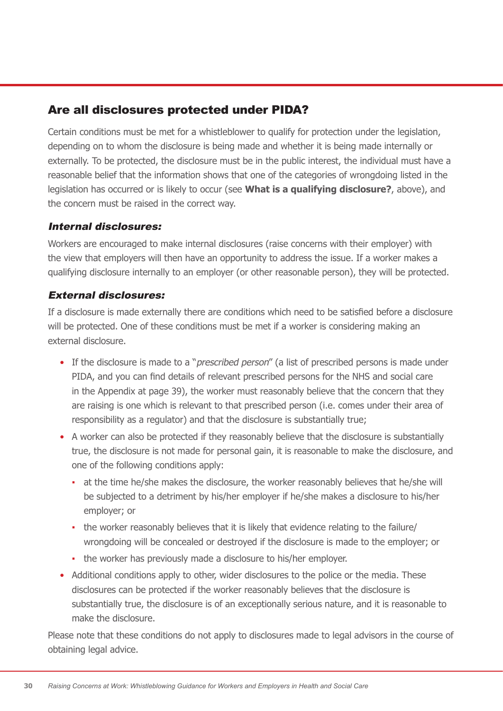### Are all disclosures protected under PIDA?

Certain conditions must be met for a whistleblower to qualify for protection under the legislation, depending on to whom the disclosure is being made and whether it is being made internally or externally. To be protected, the disclosure must be in the public interest, the individual must have a reasonable belief that the information shows that one of the categories of wrongdoing listed in the legislation has occurred or is likely to occur (see **What is a qualifying disclosure?**, above), and the concern must be raised in the correct way.

### Internal disclosures:

Workers are encouraged to make internal disclosures (raise concerns with their employer) with the view that employers will then have an opportunity to address the issue. If a worker makes a qualifying disclosure internally to an employer (or other reasonable person), they will be protected.

### External disclosures:

If a disclosure is made externally there are conditions which need to be satisfied before a disclosure will be protected. One of these conditions must be met if a worker is considering making an external disclosure.

- If the disclosure is made to a "*prescribed person"* (a list of prescribed persons is made under PIDA, and you can find details of relevant prescribed persons for the NHS and social care in the Appendix at [page 39](#page-38-2)), the worker must reasonably believe that the concern that they are raising is one which is relevant to that prescribed person (i.e. comes under their area of responsibility as a regulator) and that the disclosure is substantially true;
- A worker can also be protected if they reasonably believe that the disclosure is substantially true, the disclosure is not made for personal gain, it is reasonable to make the disclosure, and one of the following conditions apply:
	- at the time he/she makes the disclosure, the worker reasonably believes that he/she will be subjected to a detriment by his/her employer if he/she makes a disclosure to his/her employer; or
	- the worker reasonably believes that it is likely that evidence relating to the failure/ wrongdoing will be concealed or destroyed if the disclosure is made to the employer; or
	- the worker has previously made a disclosure to his/her employer.
- Additional conditions apply to other, wider disclosures to the police or the media. These disclosures can be protected if the worker reasonably believes that the disclosure is substantially true, the disclosure is of an exceptionally serious nature, and it is reasonable to make the disclosure.

Please note that these conditions do not apply to disclosures made to legal advisors in the course of obtaining legal advice.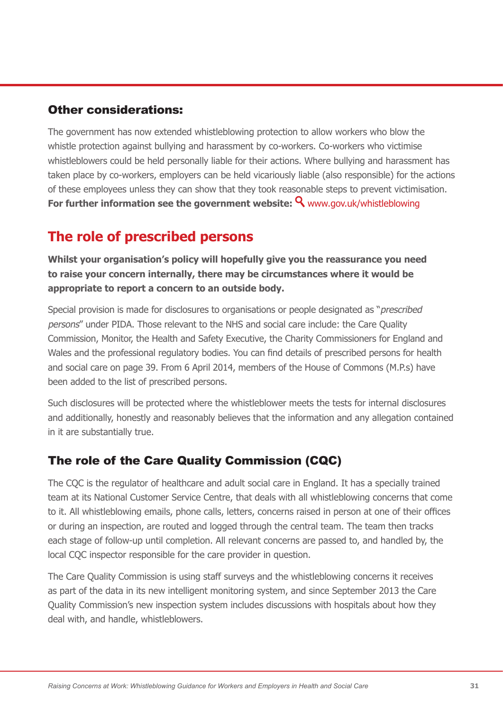### <span id="page-30-0"></span>Other considerations:

The government has now extended whistleblowing protection to allow workers who blow the whistle protection against bullying and harassment by co-workers. Co-workers who victimise whistleblowers could be held personally liable for their actions. Where bullying and harassment has taken place by co-workers, employers can be held vicariously liable (also responsible) for the actions of these employees unless they can show that they took reasonable steps to prevent victimisation. **For further information see the government website: Q** [www.gov.uk/whistleblowing](http://www.gov.uk/whistleblowing)

# **The role of prescribed persons**

**Whilst your organisation's policy will hopefully give you the reassurance you need to raise your concern internally, there may be circumstances where it would be appropriate to report a concern to an outside body.** 

Special provision is made for disclosures to organisations or people designated as "*prescribed* persons" under PIDA. Those relevant to the NHS and social care include: the Care Quality Commission, Monitor, the Health and Safety Executive, the Charity Commissioners for England and Wales and the professional regulatory bodies. You can find details of prescribed persons for health and social care on [page 39](#page-38-1). From 6 April 2014, members of the House of Commons (M.P.s) have been added to the list of prescribed persons.

Such disclosures will be protected where the whistleblower meets the tests for internal disclosures and additionally, honestly and reasonably believes that the information and any allegation contained in it are substantially true.

# The role of the Care Quality Commission (CQC)

The CQC is the regulator of healthcare and adult social care in England. It has a specially trained team at its National Customer Service Centre, that deals with all whistleblowing concerns that come to it. All whistleblowing emails, phone calls, letters, concerns raised in person at one of their offices or during an inspection, are routed and logged through the central team. The team then tracks each stage of follow-up until completion. All relevant concerns are passed to, and handled by, the local CQC inspector responsible for the care provider in question.

The Care Quality Commission is using staff surveys and the whistleblowing concerns it receives as part of the data in its new intelligent monitoring system, and since September 2013 the Care Quality Commission's new inspection system includes discussions with hospitals about how they deal with, and handle, whistleblowers.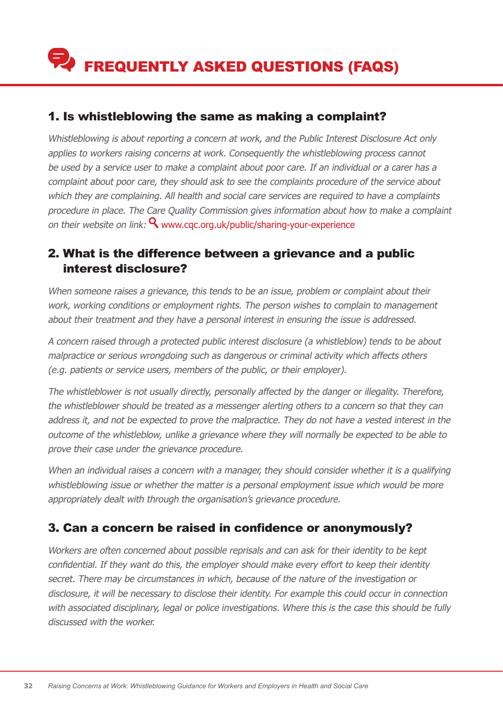### <span id="page-31-1"></span><span id="page-31-0"></span>1. Is whistleblowing the same as making a complaint?

Whistleblowing is about reporting a concern at work, and the Public Interest Disclosure Act only applies to workers raising concerns at work. Consequently the whistleblowing process cannot be used by a service user to make a complaint about poor care. If an individual or a carer has a complaint about poor care, they should ask to see the complaints procedure of the service about which they are complaining. All health and social care services are required to have a complaints procedure in place. The Care Quality Commission gives information about how to make a complaint on their website on link:  $\mathbf Q$  www.cqc.org.uk/public/sharing-your-experience

# <span id="page-31-2"></span>2. What is the difference between a grievance and a public interest disclosure?

When someone raises a grievance, this tends to be an issue, problem or complaint about their work, working conditions or employment rights. The person wishes to complain to management about their treatment and they have a personal interest in ensuring the issue is addressed.

A concern raised through a protected public interest disclosure (a whistleblow) tends to be about malpractice or serious wrongdoing such as dangerous or criminal activity which affects others (e.g. patients or service users, members of the public, or their employer).

The whistleblower is not usually directly, personally affected by the danger or illegality. Therefore, the whistleblower should be treated as a messenger alerting others to a concern so that they can address it, and not be expected to prove the malpractice. They do not have a vested interest in the outcome of the whistleblow, unlike a grievance where they will normally be expected to be able to prove their case under the grievance procedure.

When an individual raises a concern with a manager, they should consider whether it is a qualifying whistleblowing issue or whether the matter is a personal employment issue which would be more appropriately dealt with through the organisation's grievance procedure.

# 3. Can a concern be raised in confidence or anonymously?

Workers are often concerned about possible reprisals and can ask for their identity to be kept confidential. If they want do this, the employer should make every effort to keep their identity secret. There may be circumstances in which, because of the nature of the investigation or disclosure, it will be necessary to disclose their identity. For example this could occur in connection with associated disciplinary, legal or police investigations. Where this is the case this should be fully discussed with the worker.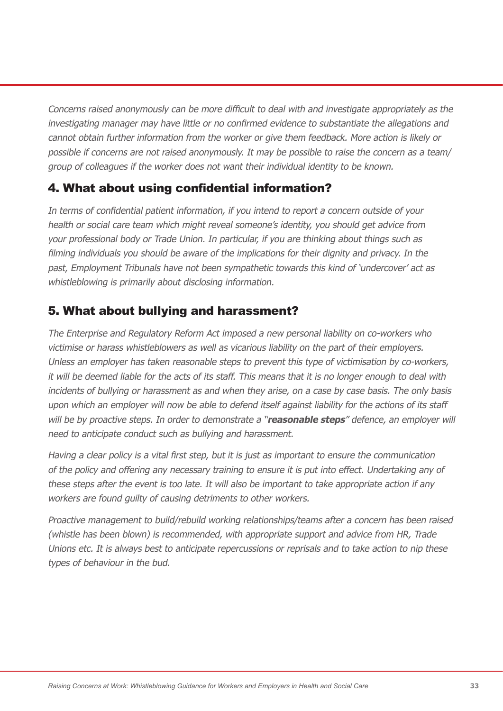Concerns raised anonymously can be more difficult to deal with and investigate appropriately as the investigating manager may have little or no confirmed evidence to substantiate the allegations and cannot obtain further information from the worker or give them feedback. More action is likely or possible if concerns are not raised anonymously. It may be possible to raise the concern as a team/ group of colleagues if the worker does not want their individual identity to be known.

### 4. What about using confidential information?

In terms of confidential patient information, if you intend to report a concern outside of your health or social care team which might reveal someone's identity, you should get advice from your professional body or Trade Union. In particular, if you are thinking about things such as filming individuals you should be aware of the implications for their dignity and privacy. In the past, Employment Tribunals have not been sympathetic towards this kind of 'undercover' act as whistleblowing is primarily about disclosing information.

## <span id="page-32-0"></span>5. What about bullying and harassment?

The Enterprise and Regulatory Reform Act imposed a new personal liability on co-workers who victimise or harass whistleblowers as well as vicarious liability on the part of their employers. Unless an employer has taken reasonable steps to prevent this type of victimisation by co-workers, it will be deemed liable for the acts of its staff. This means that it is no longer enough to deal with incidents of bullying or harassment as and when they arise, on a case by case basis. The only basis upon which an employer will now be able to defend itself against liability for the actions of its staff will be by proactive steps. In order to demonstrate a "**reasonable steps**" defence, an employer will need to anticipate conduct such as bullying and harassment.

Having a clear policy is a vital first step, but it is just as important to ensure the communication of the policy and offering any necessary training to ensure it is put into effect. Undertaking any of these steps after the event is too late. It will also be important to take appropriate action if any workers are found guilty of causing detriments to other workers.

Proactive management to build/rebuild working relationships/teams after a concern has been raised (whistle has been blown) is recommended, with appropriate support and advice from HR, Trade Unions etc. It is always best to anticipate repercussions or reprisals and to take action to nip these types of behaviour in the bud.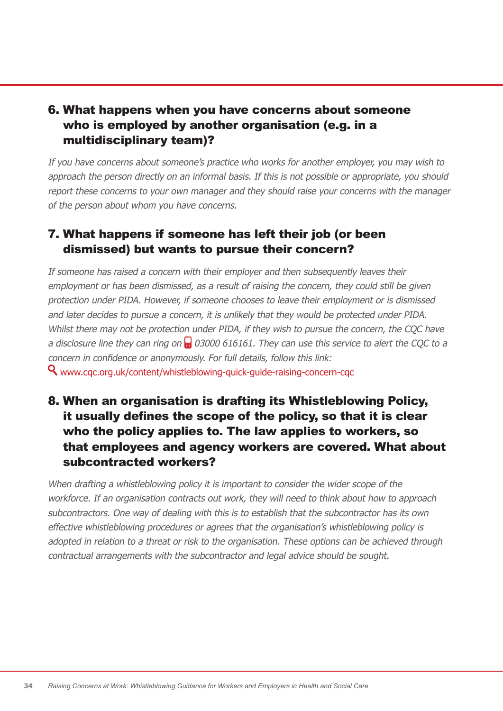# <span id="page-33-0"></span>6. What happens when you have concerns about someone who is employed by another organisation (e.g. in a multidisciplinary team)?

If you have concerns about someone's practice who works for another employer, you may wish to approach the person directly on an informal basis. If this is not possible or appropriate, you should report these concerns to your own manager and they should raise your concerns with the manager of the person about whom you have concerns.

## 7. What happens if someone has left their job (or been dismissed) but wants to pursue their concern?

If someone has raised a concern with their employer and then subsequently leaves their employment or has been dismissed, as a result of raising the concern, they could still be given protection under PIDA. However, if someone chooses to leave their employment or is dismissed and later decides to pursue a concern, it is unlikely that they would be protected under PIDA. Whilst there may not be protection under PIDA, if they wish to pursue the concern, the CQC have a disclosure line they can ring on  $\frac{1}{2}$  03000 616161. They can use this service to alert the CQC to a concern in confidence or anonymously. For full details, follow this link: [www.cqc.org.uk/content/whistleblowing-quick-guide-raising-concern-cqc](http://www.cqc.org.uk/content/whistleblowing-quick-guide-raising-concern-cqc)

# 8. When an organisation is drafting its Whistleblowing Policy, it usually defines the scope of the policy, so that it is clear who the policy applies to. The law applies to workers, so that employees and agency workers are covered. What about subcontracted workers?

When drafting a whistleblowing policy it is important to consider the wider scope of the workforce. If an organisation contracts out work, they will need to think about how to approach subcontractors. One way of dealing with this is to establish that the subcontractor has its own effective whistleblowing procedures or agrees that the organisation's whistleblowing policy is adopted in relation to a threat or risk to the organisation. These options can be achieved through contractual arrangements with the subcontractor and legal advice should be sought.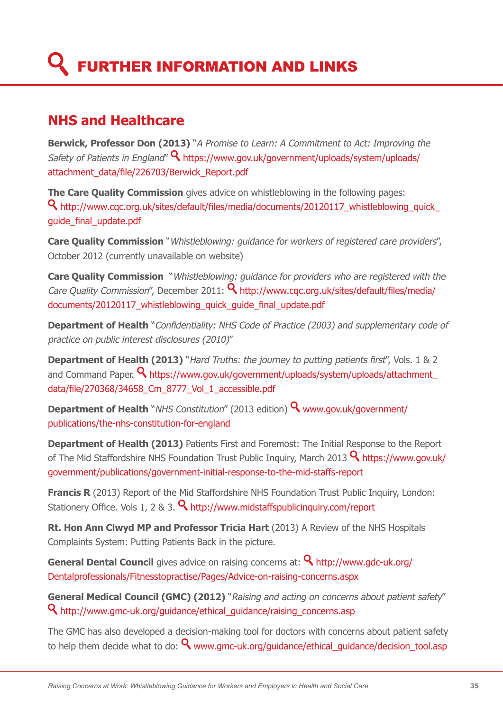# <span id="page-34-0"></span>FURTHER INFORMATION AND LINKS

# **NHS and Healthcare**

**Berwick, Professor Don (2013)** "A Promise to Learn: A Commitment to Act: Improving the Safety of Patients in England" & [https://www.gov.uk/government/uploads/system/uploads/](https://www.gov.uk/government/uploads/system/uploads/attachment_data/file/226703/Berwick_Report.pdf) [attachment\\_data/file/226703/Berwick\\_Report.pdf](https://www.gov.uk/government/uploads/system/uploads/attachment_data/file/226703/Berwick_Report.pdf)

**The Care Quality Commission** gives advice on whistleblowing in the following pages: [http://www.cqc.org.uk/sites/default/files/media/documents/20120117\\_whistleblowing\\_quick\\_](http://www.cqc.org.uk/sites/default/files/media/documents/20120117_whistleblowing_quick_guide_final_update.pdf) [guide\\_final\\_update.pdf](http://www.cqc.org.uk/sites/default/files/media/documents/20120117_whistleblowing_quick_guide_final_update.pdf)

**Care Quality Commission** *"Whistleblowing: guidance for workers of registered care providers"*, October 2012 (currently unavailable on website)

**Care Quality Commission** "Whistleblowing: guidance for providers who are registered with the Care Quality Commission", December 2011:  $\mathsf Q$  [http://www.cqc.org.uk/sites/default/files/media/](http://www.cqc.org.uk/sites/default/files/media/documents/20120117_whistleblowing_quick_guide_final_update.pdf) documents/20120117\_whistleblowing\_quick\_quide\_final\_update.pdf

**Department of Health** "Confidentiality: NHS Code of Practice (2003) and supplementary code of practice on public interest disclosures (2010)"

**Department of Health (2013)** "Hard Truths: the journey to putting patients first", Vols. 1 & 2 and Command Paper. **Q** [https://www.gov.uk/government/uploads/system/uploads/attachment\\_](https://www.gov.uk/government/uploads/system/uploads/attachment_data/file/270368/34658_Cm_8777_Vol_1_accessible.pdf) [data/file/270368/34658\\_Cm\\_8777\\_Vol\\_1\\_accessible.pdf](https://www.gov.uk/government/uploads/system/uploads/attachment_data/file/270368/34658_Cm_8777_Vol_1_accessible.pdf) 

**Department of Health** "NHS Constitution" (2013 edition) **Q** [www.gov.uk/government/](http://www.gov.uk/government/publications/the-nhs-constitution-for-england) [publications/the-nhs-constitution-for-england](http://www.gov.uk/government/publications/the-nhs-constitution-for-england)

**Department of Health (2013)** Patients First and Foremost: The Initial Response to the Report of The Mid Staffordshire NHS Foundation Trust Public Inquiry, March 2013  $\mathsf Q$  [https://www.gov.uk/](https://www.gov.uk/government/publications/government-initial-response-to-the-mid-staffs-report) [government/publications/government-initial-response-to-the-mid-staffs-report](https://www.gov.uk/government/publications/government-initial-response-to-the-mid-staffs-report)

**Francis R** (2013) Report of the Mid Staffordshire NHS Foundation Trust Public Inquiry, London: Stationery Office. Vols 1, 2 & 3,  $\mathsf Q$  <http://www.midstaffspublicinquiry.com/report>

**Rt. Hon Ann Clwyd MP and Professor Tricia Hart** (2013) A Review of the NHS Hospitals Complaints System: Putting Patients Back in the picture.

**General Dental Council** gives advice on raising concerns at: **Q** [http://www.gdc-uk.org/](http://www.gdc-uk.org/Dentalprofessionals/Fitnesstopractise/Pages/Advice-on-raising-concerns.aspx) [Dentalprofessionals/Fitnesstopractise/Pages/Advice-on-raising-concerns.aspx](http://www.gdc-uk.org/Dentalprofessionals/Fitnesstopractise/Pages/Advice-on-raising-concerns.aspx)

**General Medical Council (GMC) (2012)** "Raising and acting on concerns about patient safety" [http://www.gmc-uk.org/guidance/ethical\\_guidance/raising\\_concerns.asp](http://www.gmc-uk.org/guidance/ethical_guidance/raising_concerns.asp) 

The GMC has also developed a decision-making tool for doctors with concerns about patient safety to help them decide what to do:  $\mathbf Q$  [www.gmc-uk.org/guidance/ethical\\_guidance/decision\\_tool.asp](http://www.gmc-uk.org/guidance/ethical_guidance/decision_tool.asp)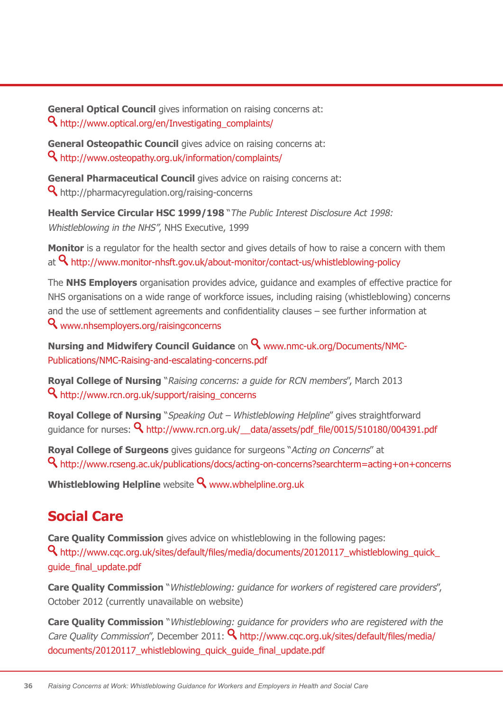**General Optical Council** gives information on raising concerns at: [http://www.optical.org/en/Investigating\\_complaints/](http://www.optical.org/en/Investigating_complaints/)

**General Osteopathic Council** gives advice on raising concerns at: <http://www.osteopathy.org.uk/information/complaints/>

**General Pharmaceutical Council** gives advice on raising concerns at: <http://pharmacyregulation.org/raising-concerns>

**Health Service Circular HSC 1999/198** "The Public Interest Disclosure Act 1998: Whistleblowing in the NHS", NHS Executive, 1999

**Monitor** is a regulator for the health sector and gives details of how to raise a concern with them at **Q** http://www.monitor-nhsft.gov.uk/about-monitor/contact-us/whistleblowing-policy

The **NHS Employers** organisation provides advice, guidance and examples of effective practice for NHS organisations on a wide range of workforce issues, including raising (whistleblowing) concerns and the use of settlement agreements and confidentiality clauses – see further information at www.nhsemployers.org/raisingconcerns

**Nursing and Midwifery Council Guidance** on **Q** [www.nmc-uk.org/Documents/NMC-](http://www.nmc-uk.org/Documents/NMC-Publications/NMC-Raising-and-escalating-concerns.pdf)[Publications/NMC-Raising-and-escalating-concerns.pdf](http://www.nmc-uk.org/Documents/NMC-Publications/NMC-Raising-and-escalating-concerns.pdf)

**Royal College of Nursing** "Raising concerns: a guide for RCN members", March 2013 [http://www.rcn.org.uk/support/raising\\_concerns](http://www.rcn.org.uk/support/raising_concerns)

**Royal College of Nursing** "Speaking Out – Whistleblowing Helpline" gives straightforward quidance for nurses:  $\mathbf Q$  http://www.rcn.org.uk/ data/assets/pdf file/0015/510180/004391.pdf

**Royal College of Surgeons** gives guidance for surgeons "Acting on Concerns" at <http://www.rcseng.ac.uk/publications/docs/acting-on-concerns?searchterm=acting+on+concerns>

**Whistleblowing Helpline** website **Q** www.wbhelpline.org.uk

# **Social Care**

**Care Quality Commission** gives advice on whistleblowing in the following pages: [http://www.cqc.org.uk/sites/default/files/media/documents/20120117\\_whistleblowing\\_quick\\_](http://www.cqc.org.uk/sites/default/files/media/documents/20120117_whistleblowing_quick_guide_final_update.pdf) [guide\\_final\\_update.pdf](http://www.cqc.org.uk/sites/default/files/media/documents/20120117_whistleblowing_quick_guide_final_update.pdf)

**Care Quality Commission** *"Whistleblowing: quidance for workers of registered care providers",* October 2012 (currently unavailable on website)

**Care Quality Commission** "Whistleblowing: quidance for providers who are registered with the Care Quality Commission", December 2011:  $\mathsf Q$  [http://www.cqc.org.uk/sites/default/files/media/](http://www.cqc.org.uk/sites/default/files/media/documents/20120117_whistleblowing_quick_guide_final_update.pdf) [documents/20120117\\_whistleblowing\\_quick\\_guide\\_final\\_update.pdf](http://www.cqc.org.uk/sites/default/files/media/documents/20120117_whistleblowing_quick_guide_final_update.pdf)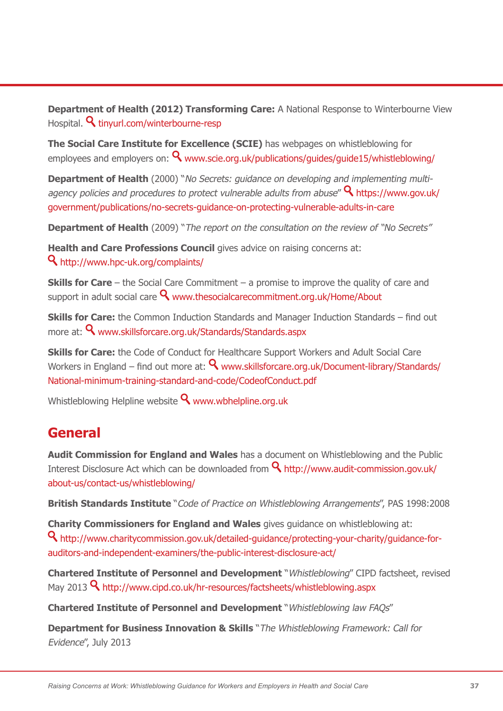**Department of Health (2012) Transforming Care:** A National Response to Winterbourne View Hospital.  $\mathbf Q$  <tinyurl.com/winterbourne-resp>

**The Social Care Institute for Excellence (SCIE)** has webpages on whistleblowing for employees and employers on:  $\mathsf Q$  [www.scie.org.uk/publications/guides/guide15/whistleblowing/](http://www.scie.org.uk/publications/guides/guide15/whistleblowing/)

**Department of Health** (2000) "No Secrets: guidance on developing and implementing multiagency policies and procedures to protect vulnerable adults from abuse"  $\mathsf Q$  [https://www.gov.uk/](https://www.gov.uk/government/publications/no-secrets-guidance-on-protecting-vulnerable-adults-in-care) [government/publications/no-secrets-guidance-on-protecting-vulnerable-adults-in-care](https://www.gov.uk/government/publications/no-secrets-guidance-on-protecting-vulnerable-adults-in-care)

**Department of Health** (2009) "The report on the consultation on the review of "No Secrets"

**Health and Care Professions Council** gives advice on raising concerns at: [http://www.hpc-uk.org/complaints/](http://www.hpc-uk.org/complaints/ ) 

**Skills for Care** – the Social Care Commitment – a promise to improve the quality of care and support in adult social care  $\mathsf Q$  [www.thesocialcarecommitment.org.uk/Home/About](http://www.thesocialcarecommitment.org.uk/Home/About)

**Skills for Care:** the Common Induction Standards and Manager Induction Standards – find out more at: **Q** <www.skillsforcare.org.uk/Standards/Standards.aspx>

**Skills for Care:** the Code of Conduct for Healthcare Support Workers and Adult Social Care Workers in England – find out more at:  $\mathbf Q$  [www.skillsforcare.org.uk/Document-library/Standards/](http://www.skillsforcare.org.uk/Document-library/Standards/National-minimum-training-standard-and-code/CodeofConduct.pdf ) [National-minimum-training-standard-and-code/CodeofConduct.pdf](http://www.skillsforcare.org.uk/Document-library/Standards/National-minimum-training-standard-and-code/CodeofConduct.pdf )

Whistleblowing Helpline website  $\mathsf Q$  www.wbhelpline.org.uk

# **General**

**Audit Commission for England and Wales** has a document on Whistleblowing and the Public Interest Disclosure Act which can be downloaded from  $\mathsf Q$  [http://www.audit-commission.gov.uk/](http://www.audit-commission.gov.uk/about-us/contact-us/whistleblowing/) [about-us/contact-us/whistleblowing/](http://www.audit-commission.gov.uk/about-us/contact-us/whistleblowing/)

**British Standards Institute** "Code of Practice on Whistleblowing Arrangements", PAS 1998:2008

**Charity Commissioners for England and Wales** gives guidance on whistleblowing at: [http://www.charitycommission.gov.uk/detailed-guidance/protecting-your-charity/guidance-for](http://www.charitycommission.gov.uk/detailed-guidance/protecting-your-charity/guidance-for-auditors-and-independent-examiners/the-public-interest-disclosure-act/ )[auditors-and-independent-examiners/the-public-interest-disclosure-act/](http://www.charitycommission.gov.uk/detailed-guidance/protecting-your-charity/guidance-for-auditors-and-independent-examiners/the-public-interest-disclosure-act/ ) 

**Chartered Institute of Personnel and Development** "Whistleblowing" CIPD factsheet, revised May 2013 **Q** http://www.cipd.co.uk/hr-resources/factsheets/whistleblowing.aspx

**Chartered Institute of Personnel and Development** "Whistleblowing law FAQs"

**Department for Business Innovation & Skills** "The Whistleblowing Framework: Call for Evidence", July 2013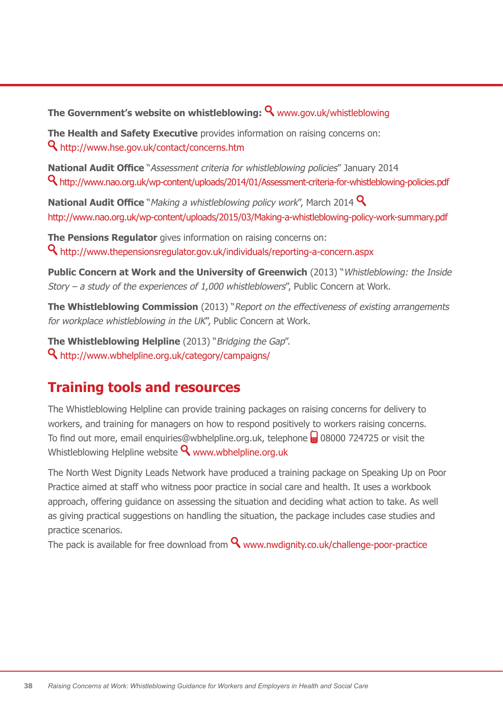**The Government's website on whistleblowing: Q** www.gov.uk/whistleblowing

**The Health and Safety Executive** provides information on raising concerns on: [http://www.hse.gov.uk/contact/concerns.htm](http://www.hse.gov.uk/contact/concerns.htm ) 

**National Audit Office** "Assessment criteria for whistleblowing policies" January 2014 <http://www.nao.org.uk/wp-content/uploads/2014/01/Assessment-criteria-for-whistleblowing-policies.pdf>

**National Audit Office** "Making a whistleblowing policy work", March 2014 Q <http://www.nao.org.uk/wp-content/uploads/2015/03/Making-a-whistleblowing-policy-work-summary.pdf>

**The Pensions Regulator** gives information on raising concerns on: [http://www.thepensionsregulator.gov.uk/individuals/reporting-a-concern.aspx](http://www.thepensionsregulator.gov.uk/individuals/reporting-a-concern.aspx ) 

**Public Concern at Work and the University of Greenwich** (2013) "Whistleblowing: the Inside Story – a study of the experiences of 1,000 whistleblowers", Public Concern at Work.

**The Whistleblowing Commission** (2013) "Report on the effectiveness of existing arrangements for workplace whistleblowing in the UK", Public Concern at Work.

**The Whistleblowing Helpline** (2013) "Bridging the Gap". <http://www.wbhelpline.org.uk/category/campaigns/>

# **Training tools and resources**

The Whistleblowing Helpline can provide training packages on raising concerns for delivery to workers, and training for managers on how to respond positively to workers raising concerns. To find out more, email enquiries@wbhelpline.org.uk, telephone = 08000 724725 or visit the Whistleblowing Helpline website  $\mathsf Q$  www.wbhelpline.org.uk

The North West Dignity Leads Network have produced a training package on Speaking Up on Poor Practice aimed at staff who witness poor practice in social care and health. It uses a workbook approach, offering guidance on assessing the situation and deciding what action to take. As well as giving practical suggestions on handling the situation, the package includes case studies and practice scenarios.

The pack is available for free download from  $\mathbf Q$  [www.nwdignity.co.uk/challenge-poor-practice](http://www.nwdignity.co.uk/challenge-poor-practice)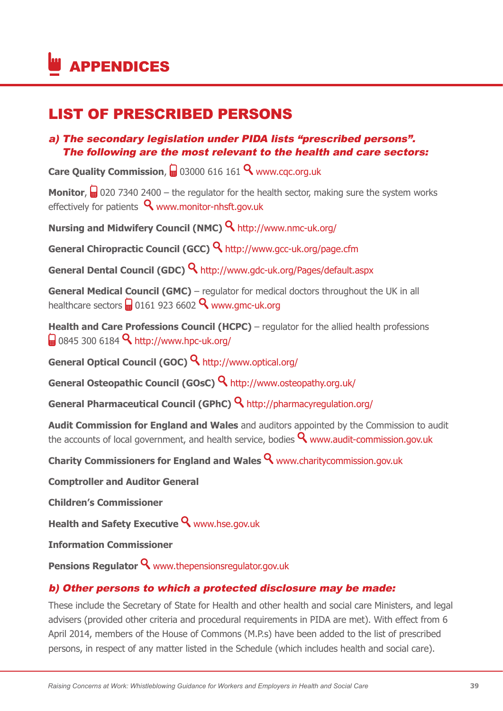# <span id="page-38-2"></span><span id="page-38-1"></span><span id="page-38-0"></span>LIST OF PRESCRIBED PERSONS

### a) The secondary legislation under PIDA lists "prescribed persons". The following are the most relevant to the health and care sectors:

**Care Quality Commission, ■ 03000 616 161 Q [www.cqc.org.uk](http://www.cqc.org.uk)** 

**Monitor,**  $\mathbf{u}$  020 7340 2400 – the regulator for the health sector, making sure the system works effectively for patients  $\mathbf Q$  [www.monitor-nhsft.gov.uk](http://www.monitor-nhsft.gov.uk)

**Nursing and Midwifery Council (NMC)** <http://www.nmc-uk.org/>

**General Chiropractic Council (GCC)** [http://www.gcc-uk.org/page.cfm](http://www.gcc-uk.org/page.cfm )

**General Dental Council (GDC)** <http://www.gdc-uk.org/Pages/default.aspx>

**General Medical Council (GMC)** – regulator for medical doctors throughout the UK in all healthcare sectors  $\Box$  0161 923 6602  $\Box$  www.gmc-uk.org

**Health and Care Professions Council (HCPC)** – regulator for the allied health professions  $\bigoplus$  0845 300 6184 A <http://www.hpc-uk.org/>

**General Optical Council (GOC)** [http://www.optical.org/](http://www.optical.org/ ) 

**General Osteopathic Council (GOsC)** <http://www.osteopathy.org.uk/>

**General Pharmaceutical Council (GPhC)** [http://pharmacyregulation.org/](http://pharmacyregulation.org/ ) 

**Audit Commission for England and Wales** and auditors appointed by the Commission to audit the accounts of local government, and health service, bodies  $\mathsf Q$  <www.audit-commission.gov.uk>

**Charity Commissioners for England and Wales** [www.charitycommission.gov.uk](http://www.charitycommission.gov.uk)

**Comptroller and Auditor General** 

**Children's Commissioner**

**Health and Safety Executive** [www.hse.gov.uk](http://www.hse.gov.uk)

**Information Commissioner**

**Pensions Regulator** [www.thepensionsregulator.gov.uk](http://www.thepensionsregulator.gov.uk)

#### b) Other persons to which a protected disclosure may be made:

These include the Secretary of State for Health and other health and social care Ministers, and legal advisers (provided other criteria and procedural requirements in PIDA are met). With effect from 6 April 2014, members of the House of Commons (M.P.s) have been added to the list of prescribed persons, in respect of any matter listed in the Schedule (which includes health and social care).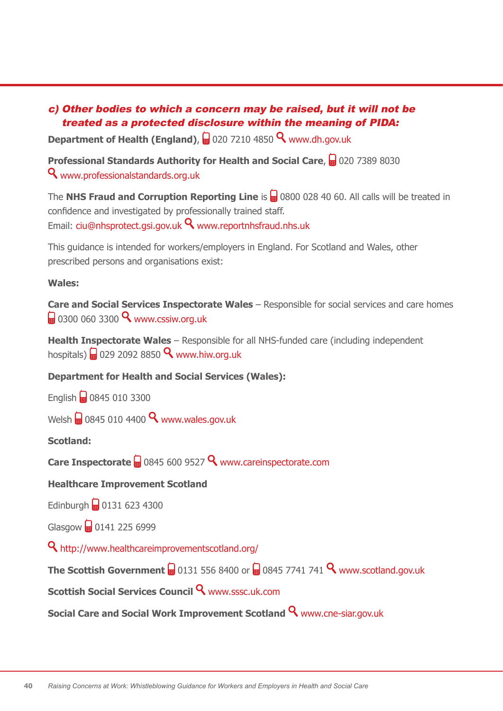### c) Other bodies to which a concern may be raised, but it will not be treated as a protected disclosure within the meaning of PIDA:

**Department of Health (England), a** 020 7210 4850 **Q** [www.dh.gov.uk](http://www.dh.gov.uk)

**Professional Standards Authority for Health and Social Care, a** 020 7389 8030 [www.professionalstandards.org.uk](http://www.professionalstandards.org.uk)

The **NHS Fraud and Corruption Reporting Line** is **a** 0800 028 40 60. All calls will be treated in confidence and investigated by professionally trained staff. Email:  $ciu@nhsprotect.gsi.gov.uk$  [www.reportnhsfraud.nhs.uk](http://www.reportnhsfraud.nhs.uk)

This guidance is intended for workers/employers in England. For Scotland and Wales, other prescribed persons and organisations exist:

#### **Wales:**

**Care and Social Services Inspectorate Wales** – Responsible for social services and care homes  $\Box$  0300 060 3300 Www.cssiw.org.uk

**Health Inspectorate Wales** – Responsible for all NHS-funded care (including independent hospitals)  $\Box$  029 2092 8850  $\Box$  [www.hiw.org.uk](http://www.hiw.org.uk)

### **Department for Health and Social Services (Wales):**

English  $\Box$  0845 010 3300

Welsh  $\Box$  0845 010 4400  $\Box$  [www.wales.gov.uk](http://www.wales.gov.uk)

### **Scotland:**

**Care Inspectorate** 0845 600 9527 [www.careinspectorate.com](http://www.careinspectorate.com)

#### **Healthcare Improvement Scotland**

Edinburgh  $\Box$  0131 623 4300

 $G$ lasgow $\frac{1}{2}$  0141 225 6999

<http://www.healthcareimprovementscotland.org/>

**The Scottish Government**  $\mathbf{a}$  0131 556 8400 or  $\mathbf{a}$  0845 7741 741  $\mathbf{Q}$  [www.scotland.gov.uk](http://www.scotland.gov.uk)

**Scottish Social Services Council** [www.sssc.uk.com](http://www.sssc.uk.com)

**Social Care and Social Work Improvement Scotland Q [www.cne-siar.gov.uk](http://www.cne-siar.gov.uk)**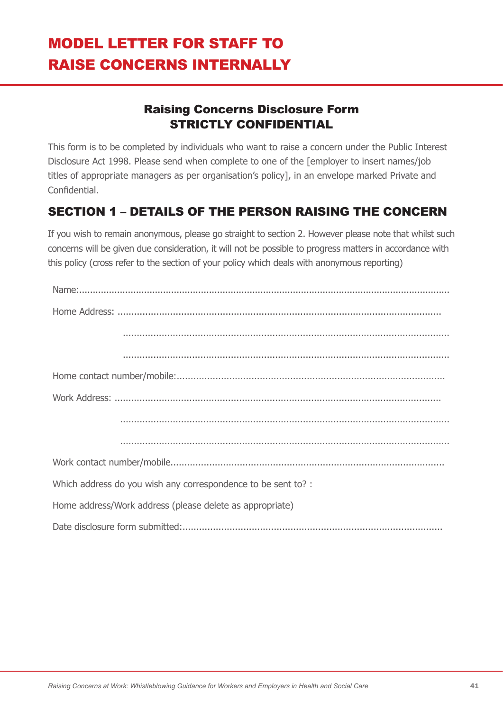# Raising Concerns Disclosure Form STRICTLY CONFIDENTIAL

<span id="page-40-1"></span><span id="page-40-0"></span>This form is to be completed by individuals who want to raise a concern under the Public Interest Disclosure Act 1998. Please send when complete to one of the [employer to insert names/job titles of appropriate managers as per organisation's policy], in an envelope marked Private and Confidential.

# SECTION 1 – DETAILS OF THE PERSON RAISING THE CONCERN

If you wish to remain anonymous, please go straight to section 2. However please note that whilst such concerns will be given due consideration, it will not be possible to progress matters in accordance with this policy (cross refer to the section of your policy which deals with anonymous reporting)

| Which address do you wish any correspondence to be sent to? : |
|---------------------------------------------------------------|
| Home address/Work address (please delete as appropriate)      |
|                                                               |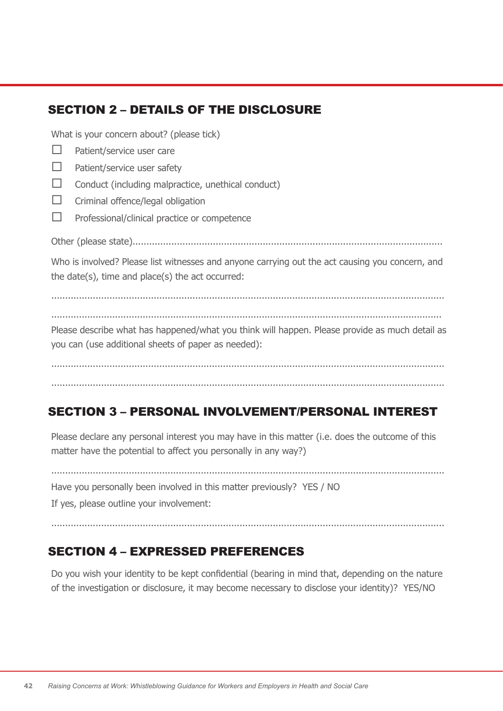## SECTION 2 – DETAILS OF THE DISCLOSURE

What is your concern about? (please tick)

- $\Box$  Patient/service user care
- $\Box$  Patient/service user safety
- $\Box$  Conduct (including malpractice, unethical conduct)
- $\Box$  Criminal offence/legal obligation
- $\square$  Professional/clinical practice or competence

Other (please state)................................................................................................................

Who is involved? Please list witnesses and anyone carrying out the act causing you concern, and the date(s), time and place(s) the act occurred:

..............................................................................................................................................

.............................................................................................................................................

Please describe what has happened/what you think will happen. Please provide as much detail as you can (use additional sheets of paper as needed):

..............................................................................................................................................

..............................................................................................................................................

# SECTION 3 – PERSONAL INVOLVEMENT/PERSONAL INTEREST

Please declare any personal interest you may have in this matter (i.e. does the outcome of this matter have the potential to affect you personally in any way?)

Have you personally been involved in this matter previously? YES / NO

If yes, please outline your involvement:

..............................................................................................................................................

# SECTION 4 – EXPRESSED PREFERENCES

Do you wish your identity to be kept confidential (bearing in mind that, depending on the nature of the investigation or disclosure, it may become necessary to disclose your identity)? YES/NO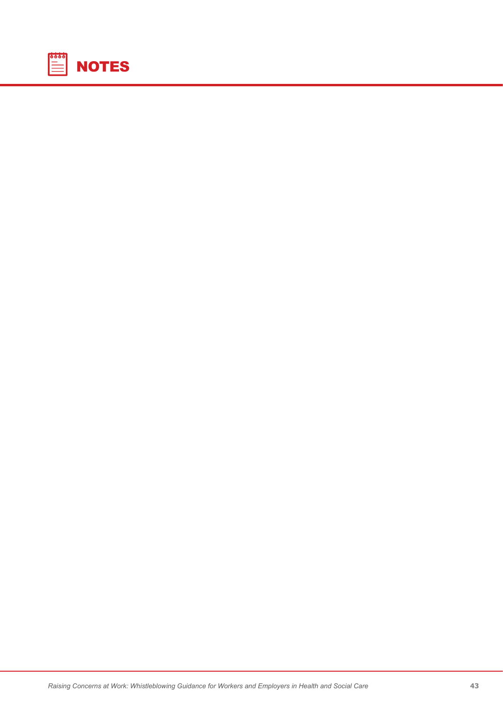<span id="page-42-0"></span>

# $\mathbb{E}$  NOTES